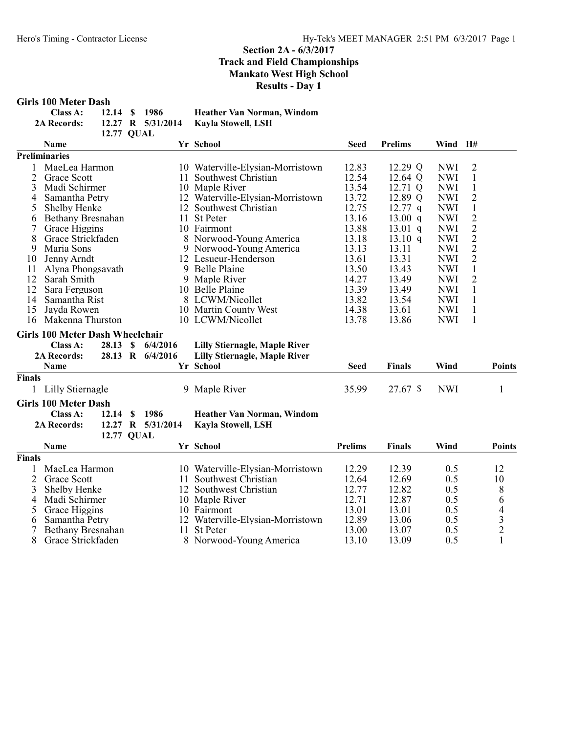### Girls 100 Meter Dash

| Class A:           | 12.14 \$ 1986 |  | <b>Heather Van Norman, Windom</b>    |
|--------------------|---------------|--|--------------------------------------|
| <b>2A Records:</b> |               |  | 12.27 R 5/31/2014 Kayla Stowell, LSH |
|                    | 12.77 OUAL    |  |                                      |

|                        | Name                                   |                           |    | Yr School                            | <b>Seed</b>    | <b>Prelims</b> | Wind       | H#                                                |                                            |
|------------------------|----------------------------------------|---------------------------|----|--------------------------------------|----------------|----------------|------------|---------------------------------------------------|--------------------------------------------|
|                        | <b>Preliminaries</b>                   |                           |    |                                      |                |                |            |                                                   |                                            |
|                        | MaeLea Harmon                          |                           |    | 10 Waterville-Elysian-Morristown     | 12.83          | 12.29 Q        | <b>NWI</b> | $\overline{c}$                                    |                                            |
| 2                      | Grace Scott                            |                           | 11 | Southwest Christian                  | 12.54          | 12.64 Q        | <b>NWI</b> | 1                                                 |                                            |
| 3                      | Madi Schirmer                          |                           |    | 10 Maple River                       | 13.54          | 12.71 Q        | <b>NWI</b> | $\mathbf{1}$                                      |                                            |
| 4                      | Samantha Petry                         |                           |    | 12 Waterville-Elysian-Morristown     | 13.72          | 12.89 Q        | <b>NWI</b> | $\overline{2}$                                    |                                            |
| 5                      | Shelby Henke                           |                           |    | 12 Southwest Christian               | 12.75          | $12.77$ q      | <b>NWI</b> | $\,1$                                             |                                            |
| 6                      | Bethany Bresnahan                      |                           | 11 | <b>St Peter</b>                      | 13.16          | 13.00 q        | <b>NWI</b> |                                                   |                                            |
| 7                      | Grace Higgins                          |                           |    | 10 Fairmont                          | 13.88          | $13.01$ q      | <b>NWI</b> | $\begin{array}{c}\n2 \\ 2 \\ 2 \\ 2\n\end{array}$ |                                            |
| 8                      | Grace Strickfaden                      |                           |    | 8 Norwood-Young America              | 13.18          | 13.10 q        | <b>NWI</b> |                                                   |                                            |
| 9                      | Maria Sons                             |                           |    | 9 Norwood-Young America              | 13.13          | 13.11          | <b>NWI</b> |                                                   |                                            |
| 10                     | Jenny Arndt                            |                           |    | 12 Lesueur-Henderson                 | 13.61          | 13.31          | <b>NWI</b> |                                                   |                                            |
| 11                     | Alyna Phongsavath                      |                           | 9  | Belle Plaine                         | 13.50          | 13.43          | <b>NWI</b> | $\mathbf{1}$                                      |                                            |
| 12                     | Sarah Smith                            |                           | 9  | Maple River                          | 14.27          | 13.49          | <b>NWI</b> | $\overline{2}$                                    |                                            |
| 12                     | Sara Ferguson                          |                           |    | 10 Belle Plaine                      | 13.39          | 13.49          | <b>NWI</b> | $\mathbf{1}$                                      |                                            |
| 14                     | Samantha Rist                          |                           |    | 8 LCWM/Nicollet                      | 13.82          | 13.54          | <b>NWI</b> | $\mathbf{1}$                                      |                                            |
| 15                     | Jayda Rowen                            |                           |    | 10 Martin County West                | 14.38          | 13.61          | <b>NWI</b> | $\mathbf{1}$                                      |                                            |
| 16<br>Makenna Thurston |                                        |                           |    | 10 LCWM/Nicollet                     | 13.78          | 13.86          | <b>NWI</b> | $\mathbf{1}$                                      |                                            |
|                        | <b>Girls 100 Meter Dash Wheelchair</b> |                           |    |                                      |                |                |            |                                                   |                                            |
|                        | Class A:<br>28.13                      | <sup>\$</sup><br>6/4/2016 |    | <b>Lilly Stiernagle, Maple River</b> |                |                |            |                                                   |                                            |
|                        | 2A Records:                            | 28.13 R 6/4/2016          |    | <b>Lilly Stiernagle, Maple River</b> |                |                |            |                                                   |                                            |
|                        | Name                                   |                           |    | Yr School                            | <b>Seed</b>    | <b>Finals</b>  | Wind       |                                                   | <b>Points</b>                              |
| <b>Finals</b>          |                                        |                           |    |                                      |                |                |            |                                                   |                                            |
|                        | Lilly Stiernagle                       |                           | 9  | Maple River                          | 35.99          | 27.67 \$       | <b>NWI</b> |                                                   | $\mathbf{1}$                               |
|                        | <b>Girls 100 Meter Dash</b>            |                           |    |                                      |                |                |            |                                                   |                                            |
|                        | Class A:<br>12.14                      | S<br>1986                 |    | Heather Van Norman, Windom           |                |                |            |                                                   |                                            |
|                        | <b>2A Records:</b>                     | 12.27 R 5/31/2014         |    | Kayla Stowell, LSH                   |                |                |            |                                                   |                                            |
|                        | <b>12.77 QUAL</b>                      |                           |    |                                      |                |                |            |                                                   |                                            |
|                        | Name                                   |                           |    | Yr School                            | <b>Prelims</b> | <b>Finals</b>  | Wind       |                                                   | <b>Points</b>                              |
|                        |                                        |                           |    |                                      |                |                |            |                                                   |                                            |
| <b>Finals</b>          |                                        |                           |    |                                      |                |                |            |                                                   |                                            |
| 1                      | MaeLea Harmon                          |                           |    | 10 Waterville-Elysian-Morristown     | 12.29          | 12.39          | 0.5        |                                                   | 12                                         |
| $\overline{2}$         | Grace Scott                            |                           |    | 11 Southwest Christian               | 12.64          | 12.69          | 0.5        |                                                   | 10                                         |
|                        | 3<br>Shelby Henke                      |                           |    | 12 Southwest Christian               | 12.77          | 12.82          | 0.5        |                                                   | 8                                          |
| 4                      | Madi Schirmer                          |                           |    | 10 Maple River                       | 12.71          | 12.87          | 0.5        |                                                   | 6                                          |
| 5                      | Grace Higgins                          |                           |    | 10 Fairmont                          | 13.01          | 13.01          | 0.5        |                                                   | $\begin{array}{c} 4 \\ 3 \\ 2 \end{array}$ |
| 6                      | Samantha Petry                         |                           | 12 | Waterville-Elysian-Morristown        | 12.89          | 13.06          | 0.5        |                                                   |                                            |
|                        | Bethany Bresnahan                      |                           | 11 | <b>St Peter</b>                      | 13.00          | 13.07          | 0.5        |                                                   |                                            |
| 8                      | Grace Strickfaden                      |                           | 8  | Norwood-Young America                | 13.10          | 13.09          | 0.5        |                                                   | $\mathbf{1}$                               |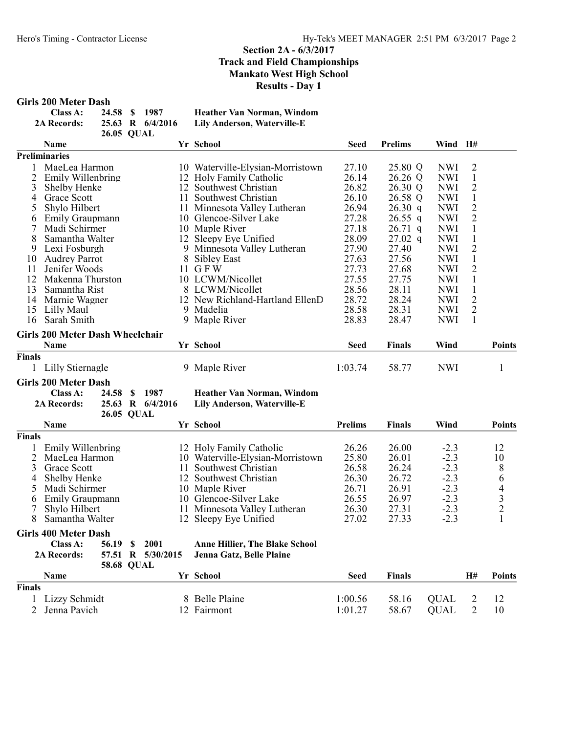#### Girls 200 Meter Dash

| Class A:           | 24.58 \$ 1987 |                  | <b>Heather Van Norman, Windom</b> |
|--------------------|---------------|------------------|-----------------------------------|
| <b>2A Records:</b> |               | 25.63 R 6/4/2016 | Lily Anderson, Waterville-E       |
|                    | 26.05 OUAL    |                  |                                   |

|                | <b>Name</b>                                           |   |                   |                         | Yr School                                    | <b>Seed</b>    | <b>Prelims</b> | Wind H#                  |                                  |                          |
|----------------|-------------------------------------------------------|---|-------------------|-------------------------|----------------------------------------------|----------------|----------------|--------------------------|----------------------------------|--------------------------|
|                | <b>Preliminaries</b>                                  |   |                   |                         |                                              |                |                |                          |                                  |                          |
| 1              | MaeLea Harmon                                         |   |                   |                         | 10 Waterville-Elysian-Morristown             | 27.10          | 25.80 Q        | <b>NWI</b>               | $\overline{2}$                   |                          |
| $\overline{2}$ | Emily Willenbring                                     |   |                   | 12 Holy Family Catholic | 26.14                                        | 26.26 Q        | <b>NWI</b>     | $\mathbf{1}$             |                                  |                          |
| 3              | Shelby Henke                                          |   |                   |                         | 12 Southwest Christian                       | 26.82          | 26.30 Q        | <b>NWI</b>               | $\overline{2}$                   |                          |
| 4              | <b>Grace Scott</b>                                    |   |                   | 11                      | Southwest Christian                          | 26.10          | 26.58 Q        | <b>NWI</b>               | $\mathbf{1}$                     |                          |
| 5              | Shylo Hilbert                                         |   |                   |                         | 11 Minnesota Valley Lutheran                 | 26.94          | 26.30 q        | <b>NWI</b>               | $\overline{2}$                   |                          |
| 6              | Emily Graupmann                                       |   |                   |                         | 10 Glencoe-Silver Lake                       | 27.28          | $26.55$ q      | <b>NWI</b>               | $\overline{2}$                   |                          |
| 7              | Madi Schirmer                                         |   |                   |                         | 10 Maple River                               | 27.18          | $26.71$ q      | <b>NWI</b>               | 1                                |                          |
| 8              | Samantha Walter                                       |   |                   |                         | 12 Sleepy Eye Unified                        | 28.09          | $27.02$ q      | <b>NWI</b>               | $\mathbf{1}$                     |                          |
| 9              | Lexi Fosburgh                                         |   |                   |                         | 9 Minnesota Valley Lutheran                  | 27.90          | 27.40          | <b>NWI</b>               | $\overline{2}$                   |                          |
| 10             | <b>Audrey Parrot</b>                                  |   |                   |                         | 8 Sibley East                                | 27.63          | 27.56          | <b>NWI</b>               | $\mathbf{1}$                     |                          |
| 11             | Jenifer Woods                                         |   |                   |                         | 11 GFW                                       | 27.73          | 27.68          | <b>NWI</b>               | $\overline{2}$                   |                          |
| 12             | Makenna Thurston                                      |   |                   |                         | 10 LCWM/Nicollet                             | 27.55          | 27.75          | <b>NWI</b>               | $\mathbf{1}$                     |                          |
| 13             | Samantha Rist                                         |   |                   |                         | 8 LCWM/Nicollet                              | 28.56<br>28.72 | 28.11          | <b>NWI</b>               | $\mathbf{1}$                     |                          |
| 14<br>15       | Marnie Wagner                                         |   |                   |                         | 12 New Richland-Hartland EllenD<br>9 Madelia | 28.58          | 28.24<br>28.31 | <b>NWI</b><br><b>NWI</b> | $\overline{2}$<br>$\overline{2}$ |                          |
| 16             | Lilly Maul<br>Sarah Smith                             |   |                   |                         |                                              | 28.83          | 28.47          | <b>NWI</b>               | $\mathbf{1}$                     |                          |
|                |                                                       |   |                   |                         | 9 Maple River                                |                |                |                          |                                  |                          |
|                | <b>Girls 200 Meter Dash Wheelchair</b><br><b>Name</b> |   |                   |                         | Yr School                                    | <b>Seed</b>    | <b>Finals</b>  | Wind                     |                                  | <b>Points</b>            |
| Finals         |                                                       |   |                   |                         |                                              |                |                |                          |                                  |                          |
|                | 1 Lilly Stiernagle                                    |   |                   |                         | 9 Maple River                                | 1:03.74        | 58.77          | <b>NWI</b>               |                                  | $\mathbf{1}$             |
|                | <b>Girls 200 Meter Dash</b>                           |   |                   |                         |                                              |                |                |                          |                                  |                          |
|                | Class A:<br>24.58                                     | S | 1987              |                         | Heather Van Norman, Windom                   |                |                |                          |                                  |                          |
|                | <b>2A Records:</b>                                    |   | 25.63 R 6/4/2016  |                         | Lily Anderson, Waterville-E                  |                |                |                          |                                  |                          |
|                | 26.05 QUAL                                            |   |                   |                         |                                              |                |                |                          |                                  |                          |
|                | <b>Name</b>                                           |   |                   |                         | Yr School                                    | <b>Prelims</b> | Finals         | Wind                     |                                  | <b>Points</b>            |
| Finals         |                                                       |   |                   |                         |                                              |                |                |                          |                                  |                          |
| 1              | Emily Willenbring                                     |   |                   |                         | 12 Holy Family Catholic                      | 26.26          | 26.00          | $-2.3$                   |                                  | 12                       |
| $\overline{2}$ | MaeLea Harmon                                         |   |                   |                         | 10 Waterville-Elysian-Morristown             | 25.80          | 26.01          | $-2.3$                   |                                  | 10                       |
| 3              | <b>Grace Scott</b>                                    |   |                   |                         | 11 Southwest Christian                       | 26.58          | 26.24          | $-2.3$                   |                                  | 8                        |
| 4              | Shelby Henke                                          |   |                   |                         | 12 Southwest Christian                       | 26.30          | 26.72          | $-2.3$                   |                                  | 6                        |
| 5              | Madi Schirmer                                         |   |                   |                         | 10 Maple River                               | 26.71          | 26.91          | $-2.3$                   |                                  | $\overline{\mathcal{L}}$ |
| 6              | Emily Graupmann                                       |   |                   |                         | 10 Glencoe-Silver Lake                       | 26.55          | 26.97          | $-2.3$                   |                                  | $\frac{3}{2}$            |
| 7              | Shylo Hilbert                                         |   |                   |                         | 11 Minnesota Valley Lutheran                 | 26.30          | 27.31          | $-2.3$                   |                                  |                          |
| 8              | Samantha Walter                                       |   |                   |                         | 12 Sleepy Eye Unified                        | 27.02          | 27.33          | $-2.3$                   |                                  | $\mathbf{1}$             |
|                | <b>Girls 400 Meter Dash</b>                           |   |                   |                         |                                              |                |                |                          |                                  |                          |
|                | Class A:<br>56.19 \$                                  |   | 2001              |                         | <b>Anne Hillier, The Blake School</b>        |                |                |                          |                                  |                          |
|                | 2A Records:                                           |   | 57.51 R 5/30/2015 |                         | Jenna Gatz, Belle Plaine                     |                |                |                          |                                  |                          |
|                | <b>58.68 QUAL</b>                                     |   |                   |                         |                                              |                |                |                          |                                  |                          |
|                | Name                                                  |   |                   |                         | Yr School                                    | <b>Seed</b>    | <b>Finals</b>  |                          | H#                               | <b>Points</b>            |
| Finals         |                                                       |   |                   |                         |                                              |                |                |                          |                                  |                          |
|                | Lizzy Schmidt                                         |   |                   |                         | 8 Belle Plaine                               | 1:00.56        | 58.16          | <b>QUAL</b>              | $\overline{2}$                   | 12                       |
| $\overline{2}$ | Jenna Pavich                                          |   |                   |                         | 12 Fairmont                                  | 1:01.27        | 58.67          | <b>QUAL</b>              | $\overline{2}$                   | 10                       |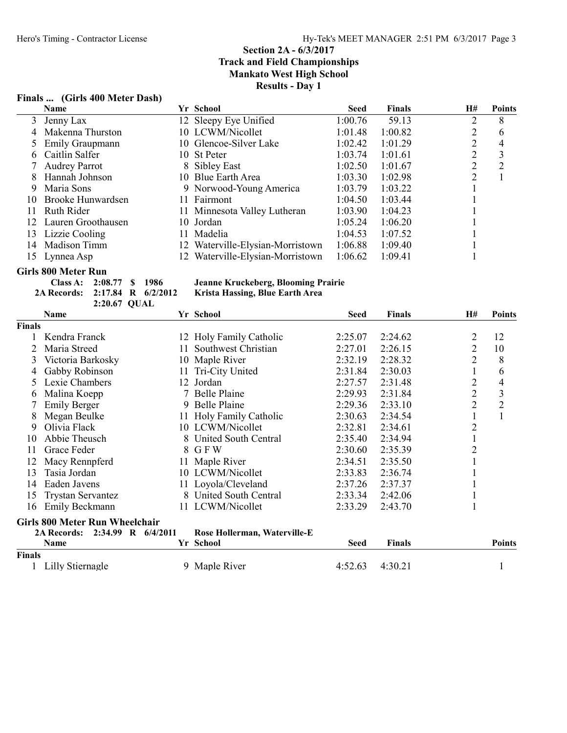# Finals ... (Girls 400 Meter Dash)

|    | <b>Name</b>            | Yr School                        | <b>Seed</b> | <b>Finals</b> | H# | <b>Points</b> |
|----|------------------------|----------------------------------|-------------|---------------|----|---------------|
| 3  | Jenny Lax              | 12 Sleepy Eye Unified            | 1:00.76     | 59.13         | 2  | 8             |
| 4  | Makenna Thurston       | 10 LCWM/Nicollet                 | 1:01.48     | 1:00.82       |    | 6             |
|    | <b>Emily Graupmann</b> | 10 Glencoe-Silver Lake           | 1:02.42     | 1:01.29       | 2  | 4             |
| h. | Caitlin Salfer         | 10 St Peter                      | 1:03.74     | 1:01.61       |    | 3             |
|    | <b>Audrey Parrot</b>   | 8 Sibley East                    | 1:02.50     | 1:01.67       | ↑  | 2             |
| 8  | Hannah Johnson         | 10 Blue Earth Area               | 1:03.30     | 1:02.98       | 2  |               |
| 9  | Maria Sons             | 9 Norwood-Young America          | 1:03.79     | 1:03.22       |    |               |
| 10 | Brooke Hunwardsen      | 11 Fairmont                      | 1:04.50     | 1:03.44       |    |               |
|    | Ruth Rider             | 11 Minnesota Valley Lutheran     | 1:03.90     | 1:04.23       |    |               |
| 12 | Lauren Groothausen     | 10 Jordan                        | 1:05.24     | 1:06.20       |    |               |
| 13 | Lizzie Cooling         | 11 Madelia                       | 1:04.53     | 1:07.52       |    |               |
| 14 | <b>Madison Timm</b>    | 12 Waterville-Elysian-Morristown | 1:06.88     | 1:09.40       |    |               |
| 15 | Lynnea Asp             | Waterville-Elysian-Morristown    | 1:06.62     | 1:09.41       |    |               |

# Girls 800 Meter Run

| Class A: $2:08.77$ \$ 1986            |              |  | Jeanr |
|---------------------------------------|--------------|--|-------|
| 2A Records: 2:17.84 R 6/2/2012 Krist: |              |  |       |
|                                       | 2:20.67 OUAL |  |       |

#### ne Kruckeberg, Blooming Prairie a Hassing, Blue Earth Area

|               | Name                                  |          | Yr School                    | <b>Seed</b><br><b>Finals</b> |               | <b>H#</b>      | <b>Points</b>  |
|---------------|---------------------------------------|----------|------------------------------|------------------------------|---------------|----------------|----------------|
| Finals        |                                       |          |                              |                              |               |                |                |
|               | Kendra Franck                         |          | 12 Holy Family Catholic      | 2:25.07                      | 2:24.62       | 2              | 12             |
|               | Maria Streed                          | 11       | Southwest Christian          | 2:27.01                      | 2:26.15       | 2              | 10             |
| 3             | Victoria Barkosky                     | 10       | Maple River                  | 2:32.19                      | 2:28.32       | $\overline{2}$ | 8              |
|               | Gabby Robinson                        |          | 11 Tri-City United           | 2:31.84                      | 2:30.03       |                | 6              |
| $\mathcal{D}$ | Lexie Chambers                        |          | 12 Jordan                    | 2:27.57                      | 2:31.48       | $\overline{2}$ | 4              |
| 6             | Malina Koepp                          |          | Belle Plaine                 | 2:29.93                      | 2:31.84       | $\overline{2}$ | 3              |
|               | <b>Emily Berger</b>                   |          | 9 Belle Plaine               | 2:29.36                      | 2:33.10       | $\overline{2}$ | $\overline{2}$ |
| 8             | Megan Beulke                          |          | 11 Holy Family Catholic      | 2:30.63                      | 2:34.54       | 1              | 1              |
| 9             | Olivia Flack                          |          | 10 LCWM/Nicollet             | 2:32.81                      | 2:34.61       | $\overline{2}$ |                |
| 10            | Abbie Theusch                         | 8        | United South Central         | 2:35.40                      | 2:34.94       |                |                |
| 11            | Grace Feder                           | 8        | G F W                        | 2:30.60                      | 2:35.39       | $\overline{2}$ |                |
| 12            | Macy Rennpferd                        | 11       | Maple River                  | 2:34.51                      | 2:35.50       |                |                |
| 13            | Tasia Jordan                          |          | 10 LCWM/Nicollet             | 2:33.83                      | 2:36.74       |                |                |
| 14            | Eaden Javens                          |          | 11 Loyola/Cleveland          | 2:37.26                      | 2:37.37       |                |                |
| 15            | <b>Trystan Servantez</b>              |          | 8 United South Central       | 2:33.34                      | 2:42.06       |                |                |
| 16            | Emily Beckmann                        |          | 11 LCWM/Nicollet             | 2:33.29                      | 2:43.70       |                |                |
|               | <b>Girls 800 Meter Run Wheelchair</b> |          |                              |                              |               |                |                |
|               | $2:34.99$ R<br><b>2A Records:</b>     | 6/4/2011 | Rose Hollerman, Waterville-E |                              |               |                |                |
|               | Name                                  |          | Yr School                    | Seed                         | <b>Finals</b> |                | <b>Points</b>  |
| <b>Finals</b> |                                       |          |                              |                              |               |                |                |
|               | Lilly Stiernagle                      |          | 9 Maple River                | 4:52.63                      | 4:30.21       |                |                |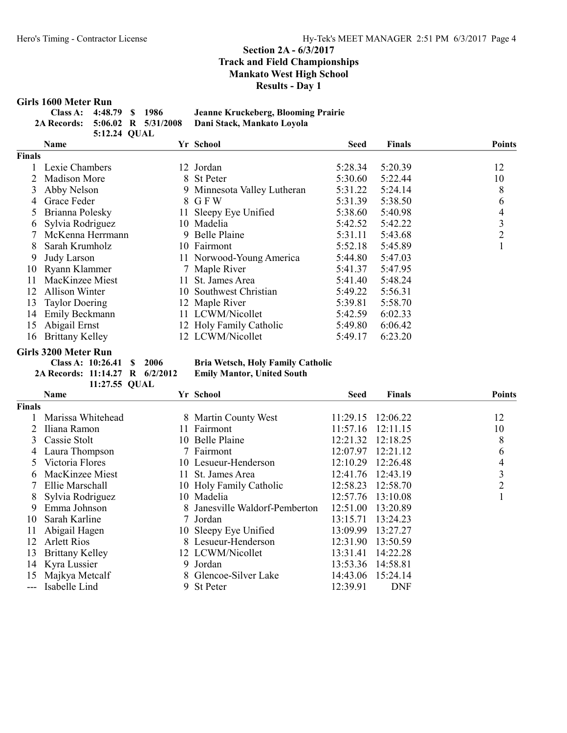### Girls 1600 Meter Run

| Class A: $4:48.79$ \$ 1986 |              |  | Jeanne Kruckeberg, Blooming Prairie                        |
|----------------------------|--------------|--|------------------------------------------------------------|
|                            |              |  | 2A Records: 5:06.02 R 5/31/2008 Dani Stack, Mankato Lovola |
|                            | 5:12.24 QUAL |  |                                                            |

|        | <b>Name</b>            |    | Yr School                   | <b>Seed</b> | <b>Finals</b> | <b>Points</b>  |
|--------|------------------------|----|-----------------------------|-------------|---------------|----------------|
| Finals |                        |    |                             |             |               |                |
|        | Lexie Chambers         |    | 12 Jordan                   | 5:28.34     | 5:20.39       | 12             |
|        | Madison More           |    | 8 St Peter                  | 5:30.60     | 5:22.44       | 10             |
| 3      | Abby Nelson            |    | 9 Minnesota Valley Lutheran | 5:31.22     | 5:24.14       | 8              |
| 4      | Grace Feder            |    | 8 GFW                       | 5:31.39     | 5:38.50       | 6              |
|        | Brianna Polesky        | 11 | Sleepy Eye Unified          | 5:38.60     | 5:40.98       | 4              |
| 6      | Sylvia Rodriguez       |    | 10 Madelia                  | 5:42.52     | 5:42.22       | 3              |
|        | McKenna Herrmann       |    | 9 Belle Plaine              | 5:31.11     | 5:43.68       | $\overline{2}$ |
| 8      | Sarah Krumholz         |    | 10 Fairmont                 | 5:52.18     | 5:45.89       |                |
| 9      | Judy Larson            |    | 11 Norwood-Young America    | 5:44.80     | 5:47.03       |                |
| 10     | Ryann Klammer          |    | 7 Maple River               | 5:41.37     | 5:47.95       |                |
| 11     | MacKinzee Miest        |    | 11 St. James Area           | 5:41.40     | 5:48.24       |                |
| 12     | <b>Allison Winter</b>  |    | 10 Southwest Christian      | 5:49.22     | 5:56.31       |                |
| 13     | <b>Taylor Doering</b>  |    | 12 Maple River              | 5:39.81     | 5:58.70       |                |
| 14     | Emily Beckmann         |    | 11 LCWM/Nicollet            | 5:42.59     | 6:02.33       |                |
| 15     | Abigail Ernst          |    | 12 Holy Family Catholic     | 5:49.80     | 6:06.42       |                |
| 16     | <b>Brittany Kelley</b> |    | 12 LCWM/Nicollet            | 5:49.17     | 6:23.20       |                |

# Girls 3200 Meter Run<br>Class A: 10:26.41 \$ 2006

2A Records:  $11:14.27$  R  $6/2/2012$ 11:27.55 QUAL

Bria Wetsch, Holy Family Catholic<br>Emily Mantor, United South

|               | Name                   |     | Yr School                      | <b>Seed</b> | <b>Finals</b> | <b>Points</b> |
|---------------|------------------------|-----|--------------------------------|-------------|---------------|---------------|
| <b>Finals</b> |                        |     |                                |             |               |               |
|               | Marissa Whitehead      |     | 8 Martin County West           | 11:29.15    | 12:06.22      | 12            |
|               | Iliana Ramon           | 11. | Fairmont                       | 11:57.16    | 12:11.15      | 10            |
| 3             | Cassie Stolt           |     | 10 Belle Plaine                | 12:21.32    | 12:18.25      | 8             |
|               | Laura Thompson         |     | 7 Fairmont                     | 12:07.97    | 12:21.12      | 6             |
|               | Victoria Flores        |     | 10 Lesueur-Henderson           | 12:10.29    | 12:26.48      | 4             |
| 6             | MacKinzee Miest        |     | 11 St. James Area              | 12:41.76    | 12:43.19      | 3             |
|               | Ellie Marschall        |     | 10 Holy Family Catholic        | 12:58.23    | 12:58.70      | 2             |
|               | Sylvia Rodriguez       |     | 10 Madelia                     | 12:57.76    | 13:10.08      |               |
| 9             | Emma Johnson           |     | 8 Janesville Waldorf-Pemberton | 12:51.00    | 13:20.89      |               |
| 10            | Sarah Karline          |     | 7 Jordan                       | 13:15.71    | 13:24.23      |               |
| 11            | Abigail Hagen          |     | 10 Sleepy Eye Unified          | 13:09.99    | 13:27.27      |               |
| 12            | <b>Arlett Rios</b>     |     | 8 Lesueur-Henderson            | 12:31.90    | 13:50.59      |               |
| 13            | <b>Brittany Kelley</b> |     | 12 LCWM/Nicollet               | 13:31.41    | 14:22.28      |               |
|               | 14 Kyra Lussier        |     | 9 Jordan                       | 13:53.36    | 14:58.81      |               |
| 15            | Majkya Metcalf         |     | 8 Glencoe-Silver Lake          | 14:43.06    | 15:24.14      |               |
|               | Isabelle Lind          |     | 9 St Peter                     | 12:39.91    | <b>DNF</b>    |               |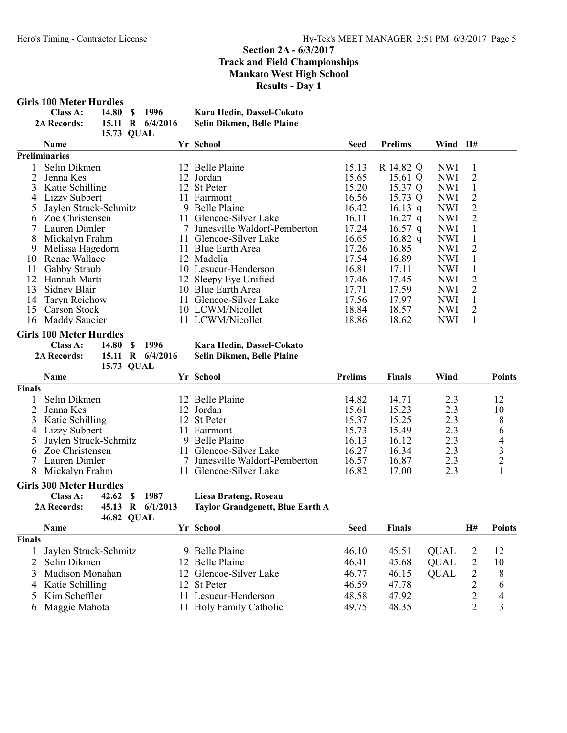#### Girls 100 Meter Hurdles

| Class A:           | 14.80 \$ 1996 |  |                    | Kara Hedin, Dassel-Cokato  |  |  |  |
|--------------------|---------------|--|--------------------|----------------------------|--|--|--|
| <b>2A Records:</b> |               |  | 15.11 R $6/4/2016$ | Selin Dikmen, Belle Plaine |  |  |  |
| 15.73 OUAL         |               |  |                    |                            |  |  |  |

|    | <b>Name</b>           |     | Yr School                    | <b>Seed</b> | <b>Prelims</b> | Wind H#    |                             |
|----|-----------------------|-----|------------------------------|-------------|----------------|------------|-----------------------------|
|    | Preliminaries         |     |                              |             |                |            |                             |
|    | Selin Dikmen          |     | 12 Belle Plaine              | 15.13       | R 14.82 Q      | <b>NWI</b> |                             |
|    | Jenna Kes             |     | 12 Jordan                    | 15.65       | 15.61 Q        | <b>NWI</b> | 2                           |
| 3  | Katie Schilling       |     | 12 St Peter                  | 15.20       | 15.37 Q        | NWI        |                             |
| 4  | Lizzy Subbert         |     | 11 Fairmont                  | 16.56       | 15.73 Q        | NWI        | 2                           |
|    | Jaylen Struck-Schmitz |     | 9 Belle Plaine               | 16.42       | 16.13 q        | NWI        | 2                           |
| 6  | Zoe Christensen       | 11. | Glencoe-Silver Lake          | 16.11       | $16.27$ q      | NWI        | 2                           |
|    | Lauren Dimler         |     | Janesville Waldorf-Pemberton | 17.24       | $16.57$ q      | <b>NWI</b> |                             |
| 8  | Mickalyn Frahm        | 11. | Glencoe-Silver Lake          | 16.65       | $16.82$ q      | <b>NWI</b> |                             |
| 9  | Melissa Hagedorn      | 11. | Blue Earth Area              | 17.26       | 16.85          | <b>NWI</b> | 2                           |
| 10 | Renae Wallace         |     | 12 Madelia                   | 17.54       | 16.89          | <b>NWI</b> |                             |
| 11 | Gabby Straub          |     | 10 Lesueur-Henderson         | 16.81       | 17.11          | <b>NWI</b> |                             |
| 12 | Hannah Marti          |     | 12 Sleepy Eye Unified        | 17.46       | 17.45          | <b>NWI</b> | 2                           |
| 13 | Sidney Blair          | 10. | Blue Earth Area              | 17.71       | 17.59          | <b>NWI</b> | $\mathcal{D}_{\mathcal{L}}$ |
| 14 | Taryn Reichow         | 11. | Glencoe-Silver Lake          | 17.56       | 17.97          | <b>NWI</b> |                             |
| 15 | Carson Stock          |     | 10 LCWM/Nicollet             | 18.84       | 18.57          | <b>NWI</b> | 2                           |
| 16 | Maddy Saucier         |     | 11 LCWM/Nicollet             | 18.86       | 18.62          | NWI        |                             |

#### Girls 100 Meter Hurdles

Class A: 14.80 \$ 1996 Kara Hedin, Dassel-Cokato<br>2A Records: 15.11 R 6/4/2016 Selin Dikmen, Belle Plaine

15.73 QUAL

# 15.11 R 6/4/2016 Selin Dikmen, Belle Plaine

#### Name School Text School Prelims Finals Wind Points Finals 1 Selin Dikmen 12 Belle Plaine 14.82 14.71 2.3 12<br>2 Jenna Kes 12 Jordan 15.61 15.23 2.3 10 2 Jenna Kes 12 Jordan 15.61 15.23 2.3 10 3 Katie Schilling 12 St Peter 15.37 15.25 2.3 8<br>4 Lizzy Subbert 11 Fairmont 15.73 15.49 2.3 6 4 Lizzy Subbert 11 Fairmont 15.73 15.49 2.3 6<br>5 Jaylen Struck-Schmitz 9 Belle Plaine 16.13 16.12 2.3 4 5 Jaylen Struck-Schmitz 9 Belle Plaine 16.13 16.12 2.3 4<br>
6 Zoe Christensen 11 Glencoe-Silver Lake 16.27 16.34 2.3 3 6 Zoe Christensen 11 Glencoe-Silver Lake 16.27 16.34 2.3 3<br>
7 Lauren Dimler 7 Janesville Waldorf-Pemberton 16.57 16.87 2.3 2 7 Janesville Waldorf-Pemberton 16.57 16.87 2.3 2<br>11 Glencoe-Silver Lake 16.82 17.00 2.3 1 8 Mickalyn Frahm 11 Glencoe-Silver Lake 16.82 17.00 2.3 1

#### Girls 300 Meter Hurdles

| Class A:           | 42.62 \$ 1987 |                  |
|--------------------|---------------|------------------|
| <b>2A Records:</b> |               | 45.13 R 6/1/2013 |
|                    | 46.82 QUAL    |                  |

#### Liesa Brateng, Roseau

Taylor Grandgenett, Blue Earth A

|               | <b>Name</b>           | Yr School               | Seed  | <b>Finals</b> |             | Η# | <b>Points</b>  |
|---------------|-----------------------|-------------------------|-------|---------------|-------------|----|----------------|
| <b>Finals</b> |                       |                         |       |               |             |    |                |
|               | Jaylen Struck-Schmitz | 9 Belle Plaine          | 46.10 | 45.51         | <b>OUAL</b> |    | -12            |
|               | 2 Selin Dikmen        | 12 Belle Plaine         | 46.41 | 45.68         | <b>OUAL</b> |    | 10             |
|               | 3 Madison Monahan     | 12 Glencoe-Silver Lake  | 46.77 | 46.15         | OUAL        |    | 8              |
|               | 4 Katie Schilling     | 12 St Peter             | 46.59 | 47.78         |             |    | 6              |
|               | 5 Kim Scheffler       | 11 Lesueur-Henderson    | 48.58 | 47.92         |             |    | $\overline{4}$ |
|               | 6 Maggie Mahota       | 11 Holy Family Catholic | 49.75 | 48.35         |             |    |                |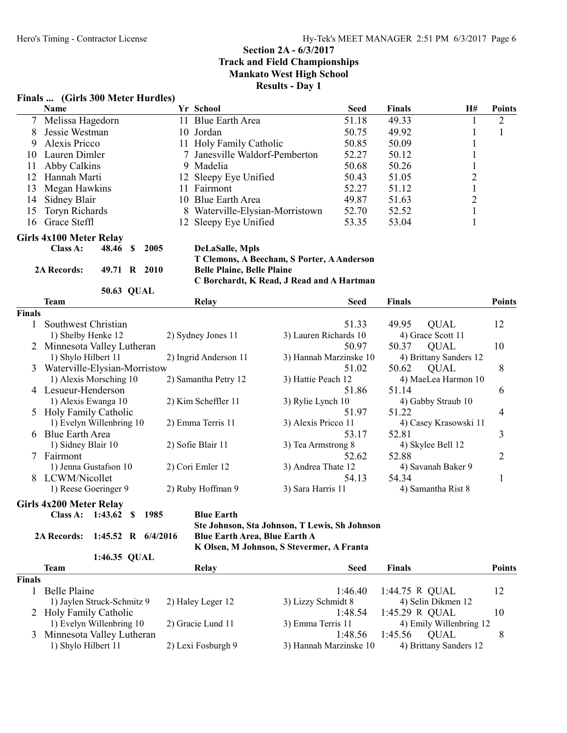### Finals ... (Girls 300 Meter Hurdles)

|               | Name                           |                      |      | Yr School                         |                                               | <b>Seed</b> | <b>Finals</b>      | H#                      | <b>Points</b>  |
|---------------|--------------------------------|----------------------|------|-----------------------------------|-----------------------------------------------|-------------|--------------------|-------------------------|----------------|
|               | 7 Melissa Hagedorn             |                      |      | 11 Blue Earth Area                |                                               | 51.18       | 49.33              | 1                       | $\overline{2}$ |
| 8             | Jessie Westman                 |                      |      | 10 Jordan                         |                                               | 50.75       | 49.92              | $\mathbf{1}$            | $\mathbf{1}$   |
| 9             | Alexis Pricco                  |                      |      | 11 Holy Family Catholic           |                                               | 50.85       | 50.09              | $\mathbf{1}$            |                |
| 10            | Lauren Dimler                  |                      |      | 7 Janesville Waldorf-Pemberton    |                                               | 52.27       | 50.12              | 1                       |                |
| 11            | Abby Calkins                   |                      |      | 9 Madelia                         |                                               | 50.68       | 50.26              | $\mathbf{1}$            |                |
| 12            | Hannah Marti                   |                      |      | 12 Sleepy Eye Unified             |                                               | 50.43       | 51.05              | $\overline{\mathbf{c}}$ |                |
| 13            | Megan Hawkins                  |                      |      | 11 Fairmont                       |                                               | 52.27       | 51.12              | $\mathbf{1}$            |                |
| 14            | Sidney Blair                   |                      |      | 10 Blue Earth Area                |                                               | 49.87       | 51.63              | $\overline{c}$          |                |
| 15            | Toryn Richards                 |                      |      | 8 Waterville-Elysian-Morristown   |                                               | 52.70       | 52.52              | $\mathbf{1}$            |                |
| 16            | Grace Steffl                   |                      |      | 12 Sleepy Eye Unified             |                                               | 53.35       | 53.04              | $\mathbf{1}$            |                |
|               | <b>Girls 4x100 Meter Relay</b> |                      |      |                                   |                                               |             |                    |                         |                |
|               | Class A:                       | 48.46 \$             | 2005 | <b>DeLaSalle, Mpls</b>            |                                               |             |                    |                         |                |
|               |                                |                      |      |                                   | T Clemons, A Beecham, S Porter, A Anderson    |             |                    |                         |                |
|               | 2A Records:                    | 49.71 R 2010         |      | <b>Belle Plaine, Belle Plaine</b> |                                               |             |                    |                         |                |
|               |                                |                      |      |                                   | C Borchardt, K Read, J Read and A Hartman     |             |                    |                         |                |
|               | <b>Team</b>                    | 50.63 QUAL           |      | <b>Relay</b>                      |                                               | <b>Seed</b> | <b>Finals</b>      |                         | <b>Points</b>  |
| <b>Finals</b> |                                |                      |      |                                   |                                               |             |                    |                         |                |
| 1             | Southwest Christian            |                      |      |                                   |                                               | 51.33       | 49.95              | <b>QUAL</b>             | 12             |
|               | 1) Shelby Henke 12             |                      |      | 2) Sydney Jones 11                | 3) Lauren Richards 10                         |             | 4) Grace Scott 11  |                         |                |
|               | Minnesota Valley Lutheran      |                      |      |                                   |                                               | 50.97       | 50.37              | <b>QUAL</b>             | 10             |
|               | 1) Shylo Hilbert 11            |                      |      | 2) Ingrid Anderson 11             | 3) Hannah Marzinske 10                        |             |                    | 4) Brittany Sanders 12  |                |
| 3             | Waterville-Elysian-Morristow   |                      |      |                                   |                                               | 51.02       | 50.62              | <b>QUAL</b>             | 8              |
|               | 1) Alexis Morsching 10         |                      |      | 2) Samantha Petry 12              | 3) Hattie Peach 12                            |             |                    | 4) MaeLea Harmon 10     |                |
|               | 4 Lesueur-Henderson            |                      |      |                                   |                                               | 51.86       | 51.14              |                         | 6              |
|               | 1) Alexis Ewanga 10            |                      |      | 2) Kim Scheffler 11               | 3) Rylie Lynch 10                             |             |                    | 4) Gabby Straub 10      |                |
|               | 5 Holy Family Catholic         |                      |      |                                   |                                               | 51.97       | 51.22              |                         | 4              |
|               | 1) Evelyn Willenbring 10       |                      |      | 2) Emma Terris 11                 | 3) Alexis Pricco 11                           |             |                    | 4) Casey Krasowski 11   |                |
| 6             | <b>Blue Earth Area</b>         |                      |      |                                   |                                               | 53.17       | 52.81              |                         | 3              |
|               | 1) Sidney Blair 10             |                      |      | 2) Sofie Blair 11                 | 3) Tea Armstrong 8                            |             | 4) Skylee Bell 12  |                         |                |
| 7             | Fairmont                       |                      |      |                                   |                                               | 52.62       | 52.88              |                         | 2              |
|               | 1) Jenna Gustafson 10          |                      |      | 2) Cori Emler 12                  | 3) Andrea Thate 12                            |             |                    | 4) Savanah Baker 9      |                |
| 8             | LCWM/Nicollet                  |                      |      |                                   |                                               | 54.13       | 54.34              |                         | $\mathbf{1}$   |
|               | 1) Reese Goeringer 9           |                      |      | 2) Ruby Hoffman 9                 | 3) Sara Harris 11                             |             | 4) Samantha Rist 8 |                         |                |
|               | Girls 4x200 Meter Relay        |                      |      |                                   |                                               |             |                    |                         |                |
|               | Class A: 1:43.62 \$ 1985       |                      |      | <b>Blue Earth</b>                 |                                               |             |                    |                         |                |
|               |                                |                      |      |                                   | Ste Johnson, Sta Johnson, T Lewis, Sh Johnson |             |                    |                         |                |
|               | <b>2A Records:</b>             | 1:45.52 R $6/4/2016$ |      | Blue Earth Area, Blue Earth A     |                                               |             |                    |                         |                |
|               |                                |                      |      |                                   | K Olsen, M Johnson, S Stevermer, A Franta     |             |                    |                         |                |
|               | <b>Team</b>                    | 1:46.35 QUAL         |      | Relay                             |                                               | <b>Seed</b> | <b>Finals</b>      |                         | <b>Points</b>  |
| <b>Finals</b> |                                |                      |      |                                   |                                               |             |                    |                         |                |
|               | D.11.                          |                      |      |                                   |                                               |             | 1.44 $\pi$ D OIIAT |                         |                |

| паіз |                             |                    |                        |                         |    |
|------|-----------------------------|--------------------|------------------------|-------------------------|----|
|      | Belle Plaine                |                    | 1:46.40                | 1:44.75 R QUAL          | 12 |
|      | 1) Jaylen Struck-Schmitz 9  | 2) Haley Leger 12  | 3) Lizzy Schmidt 8     | 4) Selin Dikmen 12      |    |
|      | 2 Holy Family Catholic      |                    | 1:48.54                | 1:45.29 R OUAL          | 10 |
|      | 1) Evelyn Willenbring 10    | 2) Gracie Lund 11  | 3) Emma Terris 11      | 4) Emily Willenbring 12 |    |
|      | 3 Minnesota Valley Lutheran |                    | 1:48.56                | 1:45.56<br>OUAL         |    |
|      | 1) Shylo Hilbert 11         | 2) Lexi Fosburgh 9 | 3) Hannah Marzinske 10 | 4) Brittany Sanders 12  |    |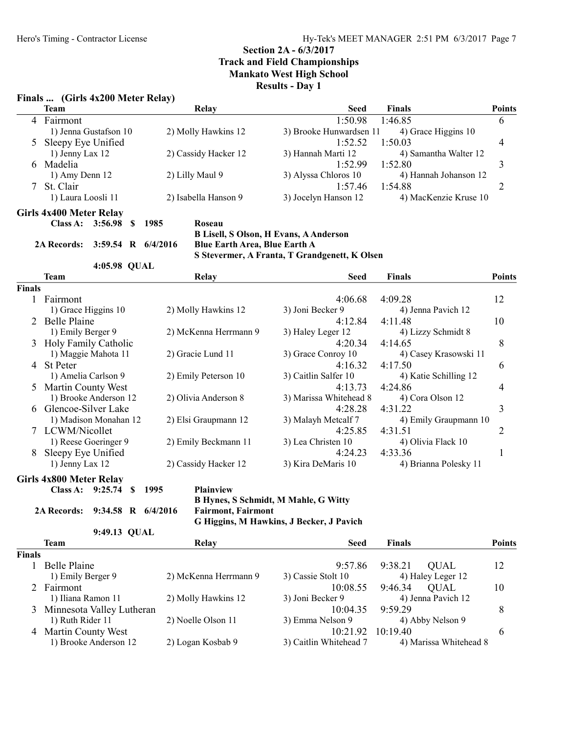#### Finals ... (Girls 4x200 Meter Relay)

|               | <b>Team</b>                                | <b>Relay</b>                  | <b>Seed</b>                                   | <b>Finals</b>         | <b>Points</b> |
|---------------|--------------------------------------------|-------------------------------|-----------------------------------------------|-----------------------|---------------|
| 4             | Fairmont                                   |                               | 1:50.98                                       | 1:46.85               | 6             |
|               | 1) Jenna Gustafson 10                      | 2) Molly Hawkins 12           | 3) Brooke Hunwardsen 11                       | 4) Grace Higgins 10   |               |
| 5             | Sleepy Eye Unified                         |                               | 1:52.52                                       | 1:50.03               | 4             |
|               | 1) Jenny Lax 12                            | 2) Cassidy Hacker 12          | 3) Hannah Marti 12                            | 4) Samantha Walter 12 |               |
| 6             | Madelia                                    |                               | 1:52.99                                       | 1:52.80               | 3             |
|               | 1) Amy Denn 12                             | 2) Lilly Maul 9               | 3) Alyssa Chloros 10                          | 4) Hannah Johanson 12 |               |
| 7             | St. Clair                                  |                               | 1:57.46                                       | 1:54.88               | 2             |
|               | 1) Laura Loosli 11                         | 2) Isabella Hanson 9          | 3) Jocelyn Hanson 12                          | 4) MacKenzie Kruse 10 |               |
|               | <b>Girls 4x400 Meter Relay</b>             |                               |                                               |                       |               |
|               | Class A: 3:56.98 \$ 1985                   | Roseau                        |                                               |                       |               |
|               |                                            |                               | <b>B Lisell, S Olson, H Evans, A Anderson</b> |                       |               |
|               | <b>2A Records:</b><br>3:59.54 R $6/4/2016$ | Blue Earth Area, Blue Earth A |                                               |                       |               |
|               |                                            |                               | S Stevermer, A Franta, T Grandgenett, K Olsen |                       |               |
|               | 4:05.98 QUAL                               |                               |                                               |                       |               |
|               | <b>Team</b>                                | Relay                         | <b>Seed</b>                                   | <b>Finals</b>         | <b>Points</b> |
| <b>Finals</b> |                                            |                               |                                               |                       |               |
|               | Fairmont                                   |                               | 4:06.68                                       | 4:09.28               | 12            |
|               | 1) Grace Higgins 10                        | 2) Molly Hawkins 12           | 3) Joni Becker 9                              | 4) Jenna Pavich 12    |               |
|               | Belle Plaine                               |                               | 4:12.84                                       | 4:11.48               | 10            |
|               | 1) Emily Berger 9                          | 2) McKenna Herrmann 9         | 3) Haley Leger 12                             | 4) Lizzy Schmidt 8    |               |
| 3             | Holy Family Catholic                       |                               | 4:20.34                                       | 4:14.65               | 8             |
|               | 1) Maggie Mahota 11                        | 2) Gracie Lund 11             | 3) Grace Conroy 10                            | 4) Casey Krasowski 11 |               |
| 4             | <b>St Peter</b>                            |                               | 4:16.32                                       | 4:17.50               | 6             |
|               | 1) Amelia Carlson 9                        | 2) Emily Peterson 10          | 3) Caitlin Salfer 10                          | 4) Katie Schilling 12 |               |
|               | <b>Martin County West</b>                  |                               | 4:13.73                                       | 4:24.86               | 4             |
|               | 1) Brooke Anderson 12                      | 2) Olivia Anderson 8          | 3) Marissa Whitehead 8                        | 4) Cora Olson 12      |               |
|               | Glencoe-Silver Lake                        |                               | 4:28.28                                       | 4:31.22               | 3             |
|               | 1) Madison Monahan 12                      | 2) Elsi Graupmann 12          | 3) Malayh Metcalf 7                           | 4) Emily Graupmann 10 |               |
| 7             | LCWM/Nicollet                              |                               | 4:25.85                                       | 4:31.51               | 2             |
|               | 1) Reese Goeringer 9                       | 2) Emily Beckmann 11          | 3) Lea Christen 10                            | 4) Olivia Flack 10    |               |

Girls 4x800 Meter Relay

```
Class A: 9:25.74 $ 1995 Plainview
```

```
2A Records: 9:34.58 R 6/4/2016 Fairmont, Fairmont
```
B Hynes, S Schmidt, M Mahle, G Witty G Higgins, M Hawkins, J Becker, J Pavich

8 Sleepy Eye Unified<br>
1) Jenny Lax 12 2) Cassidy Hacker 12 3) Kira DeMaris 10 4:24.23 4:33.36 1<br>
4) Brianna Polesky 11

9:49.13 QUAL **Team** Relay Relay Seed Finals Points Finals 1 Belle Plaine 9:57.86 9:38.21 QUAL 12 1) Emily Berger 9 2) McKenna Herrmann 9 3) Cassie Stolt 10 4) Haley Leger 12 2 Fairmont 10:08.55 9:46.34 QUAL 10 1) Iliana Ramon 11 2) Molly Hawkins 12 3) Joni Becker 9 4) Jenna Pavich 12 3 Minnesota Valley Lutheran 10:04.35 9:59.29 8

1) Ruth Rider 11 2) Noelle Olson 11 3) Emma Nelson 9 4) Abby Nelson 9 4 Martin County West 10:21.92 10:19.40 6

# 1) Brooke Anderson 12 2) Logan Kosbab 9 3) Caitlin Whitehead 7 4) Marissa Whitehead 8

4) Brianna Polesky 11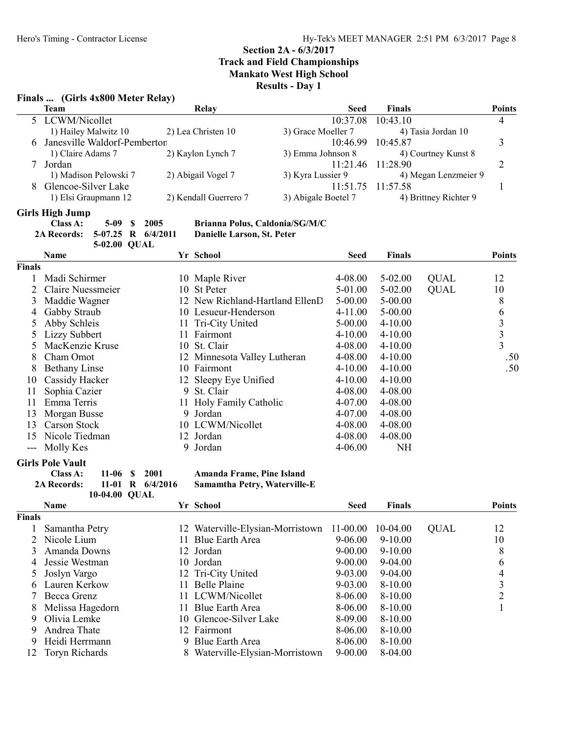#### Finals ... (Girls 4x800 Meter Relay)

| Team                           | $\sim$<br>Relay       | Seed                | <b>Finals</b>         | <b>Points</b> |
|--------------------------------|-----------------------|---------------------|-----------------------|---------------|
| 5 LCWM/Nicollet                |                       | 10:37.08            | 10:43.10              | 4             |
| 1) Hailey Malwitz 10           | 2) Lea Christen 10    | 3) Grace Moeller 7  | 4) Tasia Jordan 10    |               |
| 6 Janesville Waldorf-Pemberton |                       |                     | 10:46.99 10:45.87     |               |
| 1) Claire Adams 7              | 2) Kaylon Lynch 7     | 3) Emma Johnson 8   | 4) Courtney Kunst 8   |               |
| Jordan                         |                       |                     | 11:21.46 11:28.90     |               |
| 1) Madison Pelowski 7          | 2) Abigail Vogel 7    | 3) Kyra Lussier 9   | 4) Megan Lenzmeier 9  |               |
| Glencoe-Silver Lake            |                       |                     | 11:51.75 11:57.58     |               |
| 1) Elsi Graupmann 12           | 2) Kendall Guerrero 7 | 3) Abigale Boetel 7 | 4) Brittney Richter 9 |               |
|                                |                       |                     |                       |               |

# Girls High Jump<br>Class A:

5-09 \$ 2005 Brianna Polus, Caldonia/SG/M/C<br>07.25 R 6/4/2011 Danielle Larson, St. Peter 2A Records: 5-07.25 R 6/4/2011 5-02.00 QUAL

|               | <b>Name</b>          |   | Yr School                       | Seed        | <b>Finals</b> |             | <b>Points</b> |
|---------------|----------------------|---|---------------------------------|-------------|---------------|-------------|---------------|
| <b>Finals</b> |                      |   |                                 |             |               |             |               |
|               | Madi Schirmer        |   | 10 Maple River                  | 4-08.00     | $5-02.00$     | <b>QUAL</b> | 12            |
|               | Claire Nuessmeier    |   | 10 St Peter                     | 5-01.00     | 5-02.00       | <b>QUAL</b> | 10            |
| 3             | Maddie Wagner        |   | 12 New Richland-Hartland EllenD | $5 - 00.00$ | $5 - 00.00$   |             | 8             |
| 4             | Gabby Straub         |   | 10 Lesueur-Henderson            | $4-11.00$   | $5 - 00.00$   |             | 6             |
|               | Abby Schleis         |   | 11 Tri-City United              | $5 - 00.00$ | $4 - 10.00$   |             | 3             |
|               | Lizzy Subbert        |   | 11 Fairmont                     | $4 - 10.00$ | $4 - 10.00$   |             | 3             |
|               | MacKenzie Kruse      |   | 10 St. Clair                    | 4-08.00     | $4 - 10.00$   |             | 3             |
| 8             | Cham Omot            |   | 12 Minnesota Valley Lutheran    | 4-08.00     | $4 - 10.00$   |             | .50           |
| 8             | <b>Bethany Linse</b> |   | 10 Fairmont                     | $4 - 10.00$ | $4 - 10.00$   |             | .50           |
| 10            | Cassidy Hacker       |   | 12 Sleepy Eye Unified           | $4 - 10.00$ | $4 - 10.00$   |             |               |
| 11            | Sophia Cazier        |   | 9 St. Clair                     | 4-08.00     | 4-08.00       |             |               |
| 11            | Emma Terris          |   | 11 Holy Family Catholic         | 4-07.00     | 4-08.00       |             |               |
| 13            | Morgan Busse         |   | 9 Jordan                        | 4-07.00     | 4-08.00       |             |               |
| 13            | <b>Carson Stock</b>  |   | 10 LCWM/Nicollet                | 4-08.00     | 4-08.00       |             |               |
| 15            | Nicole Tiedman       |   | 12 Jordan                       | 4-08.00     | 4-08.00       |             |               |
|               | Molly Kes            | 9 | Jordan                          | 4-06.00     | <b>NH</b>     |             |               |

#### Girls Pole Vault

Class A: 11-06 \$ 2001 Amanda Frame, Pine Island<br>2A Records: 11-01 R 6/4/2016 Samamtha Petry, Waterville

10-04.00 QUAL

Samamtha Petry, Waterville-E

|        | <b>Name</b>      |     | Yr School                        | <b>Seed</b>  | <b>Finals</b> |             | <b>Points</b> |
|--------|------------------|-----|----------------------------------|--------------|---------------|-------------|---------------|
| Finals |                  |     |                                  |              |               |             |               |
|        | Samantha Petry   |     | 12 Waterville-Elysian-Morristown | $11 - 00.00$ | 10-04.00      | <b>QUAL</b> | 12            |
|        | Nicole Lium      |     | <b>Blue Earth Area</b>           | 9-06.00      | $9-10.00$     |             | 10            |
| 3      | Amanda Downs     |     | 12 Jordan                        | $9 - 00.00$  | $9-10.00$     |             | 8             |
| 4      | Jessie Westman   |     | 10 Jordan                        | $9 - 00.00$  | 9-04.00       |             | 6             |
|        | Joslyn Vargo     |     | 12 Tri-City United               | 9-03.00      | 9-04.00       |             | 4             |
| 6      | Lauren Kerkow    |     | 11 Belle Plaine                  | 9-03.00      | $8-10.00$     |             | 3             |
|        | Becca Grenz      |     | 11 LCWM/Nicollet                 | 8-06.00      | $8-10.00$     |             |               |
| 8      | Melissa Hagedorn | 11. | Blue Earth Area                  | 8-06.00      | 8-10.00       |             |               |
| 9      | Olivia Lemke     |     | 10 Glencoe-Silver Lake           | 8-09.00      | 8-10.00       |             |               |
| 9      | Andrea Thate     |     | 12 Fairmont                      | 8-06.00      | 8-10.00       |             |               |
| 9      | Heidi Herrmann   | 9.  | Blue Earth Area                  | 8-06.00      | $8-10.00$     |             |               |
| 12-    | Toryn Richards   |     | 8 Waterville-Elysian-Morristown  | $9 - 00.00$  | 8-04.00       |             |               |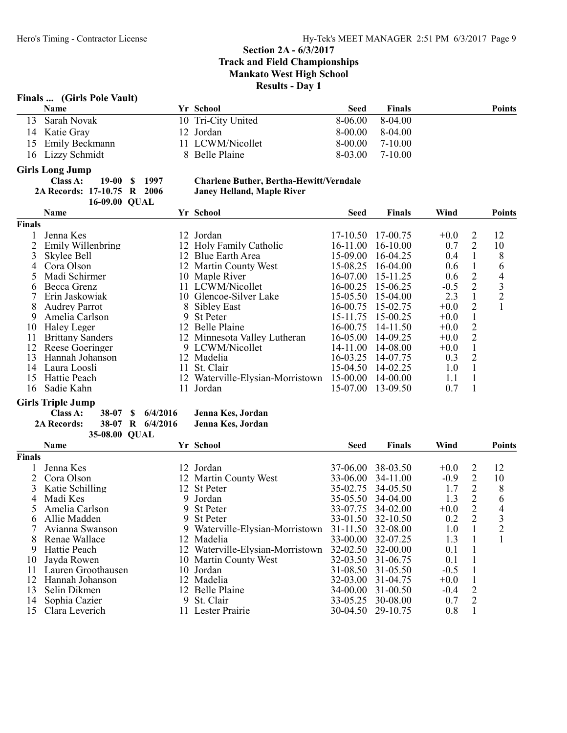# Finals ... (Girls Pole Vault)

|  | <b>Name</b>       | Yr School          | Seed      | <b>Finals</b> | <b>Points</b> |
|--|-------------------|--------------------|-----------|---------------|---------------|
|  | 13 Sarah Novak    | 10 Tri-City United | 8-06.00   | 8-04.00       |               |
|  | 14 Katie Gray     | 12 Jordan          | $8-00.00$ | 8-04.00       |               |
|  | 15 Emily Beckmann | 11 LCWM/Nicollet   | $8-00.00$ | 7-10.00       |               |
|  | 16 Lizzy Schmidt  | 8 Belle Plaine     | 8-03.00   | 7-10.00       |               |
|  |                   |                    |           |               |               |

#### Girls Long Jump

|                             | Class A: $19-00$ \$ 1997 |  |
|-----------------------------|--------------------------|--|
| 2A Records: 17-10.75 R 2006 |                          |  |
|                             | 16-09.00 OUAL            |  |

#### Charlene Buther, Bertha-Hewitt/Verndale Janey Helland, Maple River

|               | <b>Name</b>             |     | Yr School                        | <b>Seed</b>  | <b>Finals</b> | Wind   |                | <b>Points</b>  |
|---------------|-------------------------|-----|----------------------------------|--------------|---------------|--------|----------------|----------------|
| <b>Finals</b> |                         |     |                                  |              |               |        |                |                |
|               | Jenna Kes               |     | 12 Jordan                        | $17-10.50$   | 17-00.75      | $+0.0$ | 2              | 12             |
|               | Emily Willenbring       |     | 12 Holy Family Catholic          | $16 - 11.00$ | $16-10.00$    | 0.7    | $\overline{2}$ | 10             |
|               | Skylee Bell             | 12. | <b>Blue Earth Area</b>           | 15-09.00     | 16-04.25      | 0.4    |                | 8              |
| 4             | Cora Olson              |     | 12 Martin County West            | 15-08.25     | 16-04.00      | 0.6    |                | 6              |
|               | Madi Schirmer           |     | 10 Maple River                   | 16-07.00     | 15-11.25      | 0.6    | 2              | $\overline{4}$ |
| 6             | Becca Grenz             |     | LCWM/Nicollet                    | 16-00.25     | 15-06.25      | $-0.5$ | 2              | 3              |
|               | Erin Jaskowiak          |     | 10 Glencoe-Silver Lake           | $15 - 05.50$ | $15-04.00$    | 2.3    |                | 2              |
| 8             | <b>Audrey Parrot</b>    | 8   | <b>Sibley East</b>               | 16-00.75     | 15-02.75      | $+0.0$ | 2              |                |
| 9             | Amelia Carlson          | 9   | <b>St Peter</b>                  | 15-11.75     | 15-00.25      | $+0.0$ |                |                |
| 10            | Haley Leger             |     | 12 Belle Plaine                  | 16-00.75     | 14-11.50      | $+0.0$ | 2              |                |
|               | <b>Brittany Sanders</b> |     | 12 Minnesota Valley Lutheran     | $16 - 05.00$ | 14-09.25      | $+0.0$ | 2              |                |
| 12            | Reese Goeringer         |     | 9 LCWM/Nicollet                  | 14-11.00     | 14-08.00      | $+0.0$ |                |                |
| 13            | Hannah Johanson         |     | 12 Madelia                       | 16-03.25     | 14-07.75      | 0.3    | 2              |                |
| 14            | Laura Loosli            | 11. | St. Clair                        | $15-04.50$   | 14-02.25      | 1.0    |                |                |
| 15            | Hattie Peach            |     | 12 Waterville-Elysian-Morristown | 15-00.00     | 14-00.00      | 1.1    |                |                |
| 16            | Sadie Kahn              |     | Jordan                           | 15-07.00     | 13-09.50      | 0.7    |                |                |
|               |                         |     |                                  |              |               |        |                |                |

#### Girls Triple Jump

| Class A:           |               | 38-07 \$ 6/4/2016 | Jenna Kes, Jordan |
|--------------------|---------------|-------------------|-------------------|
| <b>2A Records:</b> |               | 38-07 R 6/4/2016  | Jenna Kes, Jordan |
|                    | 35-08.00 QUAL |                   |                   |

|               | <b>Name</b>        |    | Yr School                        | <b>Seed</b>  | <b>Finals</b> | Wind   |                             | <b>Points</b>  |
|---------------|--------------------|----|----------------------------------|--------------|---------------|--------|-----------------------------|----------------|
| <b>Finals</b> |                    |    |                                  |              |               |        |                             |                |
|               | Jenna Kes          |    | 12 Jordan                        | 37-06.00     | 38-03.50      | $+0.0$ | 2                           | 12             |
|               | Cora Olson         |    | 12 Martin County West            | 33-06.00     | 34-11.00      | $-0.9$ | $\mathcal{D}_{\mathcal{L}}$ | 10             |
|               | Katie Schilling    |    | 12 St Peter                      | 35-02.75     | 34-05.50      | 1.7    | 2                           | 8              |
| 4             | Madi Kes           | 9. | Jordan                           | 35-05.50     | 34-04.00      | 1.3    | 2                           | 6              |
|               | Amelia Carlson     |    | 9 St Peter                       | 33-07.75     | 34-02.00      | $+0.0$ | 2                           | 4              |
| h.            | Allie Madden       |    | 9 St Peter                       | 33-01.50     | 32-10.50      | 0.2    | 2                           | 3              |
|               | Avianna Swanson    |    | 9 Waterville-Elysian-Morristown  | $31 - 11.50$ | 32-08.00      | 1.0    |                             | $\overline{2}$ |
|               | Renae Wallace      | 12 | Madelia                          | $33 - 00.00$ | 32-07.25      | 1.3    |                             |                |
| 9             | Hattie Peach       |    | 12 Waterville-Elysian-Morristown | $32 - 02.50$ | 32-00.00      | 0.1    |                             |                |
| 10            | Jayda Rowen        |    | 10 Martin County West            | $32 - 03.50$ | 31-06.75      | 0.1    |                             |                |
| 11            | Lauren Groothausen |    | 10 Jordan                        | $31 - 08.50$ | 31-05.50      | $-0.5$ |                             |                |
| 12            | Hannah Johanson    |    | 12 Madelia                       | 32-03.00     | 31-04.75      | $+0.0$ |                             |                |
| 13            | Selin Dikmen       |    | 12 Belle Plaine                  | 34-00.00     | $31 - 00.50$  | $-0.4$ | 2                           |                |
| 14            | Sophia Cazier      | 9  | St. Clair                        | 33-05.25     | 30-08.00      | 0.7    | $\overline{2}$              |                |
| 15            | Clara Leverich     | H. | Lester Prairie                   | $30-04.50$   | 29-10.75      | 0.8    |                             |                |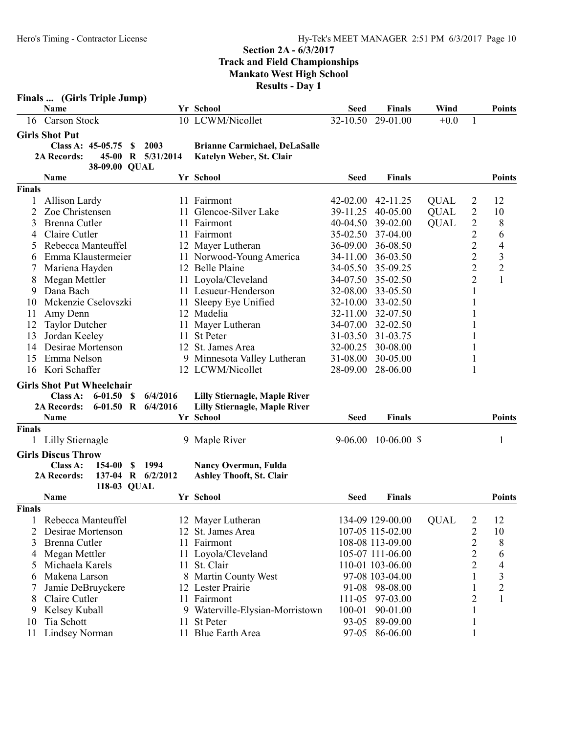|                                                            | Finals  (Girls Triple Jump)                                                                                                                                          |                     |                                                                                                                                                                                             |                                                  |                                                                                                                                                                      |                                           |                                                                                                                         |                                                                                                   |
|------------------------------------------------------------|----------------------------------------------------------------------------------------------------------------------------------------------------------------------|---------------------|---------------------------------------------------------------------------------------------------------------------------------------------------------------------------------------------|--------------------------------------------------|----------------------------------------------------------------------------------------------------------------------------------------------------------------------|-------------------------------------------|-------------------------------------------------------------------------------------------------------------------------|---------------------------------------------------------------------------------------------------|
|                                                            | Name                                                                                                                                                                 |                     | Yr School                                                                                                                                                                                   | <b>Seed</b>                                      | <b>Finals</b>                                                                                                                                                        | Wind                                      |                                                                                                                         | <b>Points</b>                                                                                     |
|                                                            | 16 Carson Stock                                                                                                                                                      |                     | 10 LCWM/Nicollet                                                                                                                                                                            | 32-10.50                                         | 29-01.00                                                                                                                                                             | $+0.0$                                    | 1                                                                                                                       |                                                                                                   |
|                                                            | <b>Girls Shot Put</b><br>Class A: 45-05.75<br><sup>\$</sup><br><b>2A Records:</b><br>45-00<br>38-09.00 QUAL                                                          | 2003<br>R 5/31/2014 | <b>Brianne Carmichael, DeLaSalle</b><br>Katelyn Weber, St. Clair                                                                                                                            |                                                  |                                                                                                                                                                      |                                           |                                                                                                                         |                                                                                                   |
|                                                            | Name                                                                                                                                                                 |                     | Yr School                                                                                                                                                                                   | <b>Seed</b>                                      | <b>Finals</b>                                                                                                                                                        |                                           |                                                                                                                         | <b>Points</b>                                                                                     |
| <b>Finals</b><br>1<br>2<br>3                               | Allison Lardy<br>Zoe Christensen<br>Brenna Cutler                                                                                                                    | 11.                 | 11 Fairmont<br>Glencoe-Silver Lake<br>11 Fairmont                                                                                                                                           | $42 - 02.00$<br>39-11.25<br>40-04.50             | 42-11.25<br>40-05.00<br>39-02.00                                                                                                                                     | <b>QUAL</b><br><b>QUAL</b><br><b>QUAL</b> | $\overline{\mathbf{c}}$<br>$\overline{2}$<br>$\overline{2}$                                                             | 12<br>10<br>8                                                                                     |
| 4<br>5<br>6                                                | Claire Cutler<br>Rebecca Manteuffel<br>Emma Klaustermeier                                                                                                            |                     | 11 Fairmont<br>12 Mayer Lutheran<br>11 Norwood-Young America                                                                                                                                | 35-02.50<br>36-09.00<br>34-11.00                 | 37-04.00<br>36-08.50<br>36-03.50                                                                                                                                     |                                           | $\overline{c}$<br>$\overline{c}$<br>$\overline{2}$                                                                      | 6<br>4<br>$\mathfrak{Z}$                                                                          |
| 8<br>9                                                     | Mariena Hayden<br>Megan Mettler<br>Dana Bach                                                                                                                         |                     | 12 Belle Plaine<br>11 Loyola/Cleveland<br>11 Lesueur-Henderson                                                                                                                              | 34-05.50<br>34-07.50<br>32-08.00                 | 35-09.25<br>35-02.50<br>33-05.50                                                                                                                                     |                                           | $\overline{2}$<br>$\overline{2}$<br>1                                                                                   | $\overline{2}$<br>$\mathbf{1}$                                                                    |
| 10<br>11<br>12<br>13                                       | Mckenzie Cselovszki<br>Amy Denn<br><b>Taylor Dutcher</b><br>Jordan Keeley                                                                                            |                     | 11 Sleepy Eye Unified<br>12 Madelia<br>11 Mayer Lutheran<br>11 St Peter                                                                                                                     | $32 - 10.00$<br>32-11.00<br>34-07.00<br>31-03.50 | 33-02.50<br>32-07.50<br>32-02.50<br>31-03.75                                                                                                                         |                                           | 1<br>1                                                                                                                  |                                                                                                   |
| 14<br>15<br>16                                             | Desirae Mortenson<br>Emma Nelson<br>Kori Schaffer                                                                                                                    |                     | 12 St. James Area<br>9 Minnesota Valley Lutheran<br>12 LCWM/Nicollet                                                                                                                        | 32-00.25<br>31-08.00<br>28-09.00                 | 30-08.00<br>30-05.00<br>28-06.00                                                                                                                                     |                                           | 1<br>1<br>1                                                                                                             |                                                                                                   |
|                                                            | <b>Girls Shot Put Wheelchair</b><br>$6 - 01.50$<br>Class A:<br>-S<br>6-01.50 R $6/4/2016$<br><b>2A Records:</b>                                                      | 6/4/2016            | <b>Lilly Stiernagle, Maple River</b><br><b>Lilly Stiernagle, Maple River</b>                                                                                                                |                                                  |                                                                                                                                                                      |                                           |                                                                                                                         |                                                                                                   |
| <b>Finals</b>                                              | Name                                                                                                                                                                 |                     | Yr School                                                                                                                                                                                   | <b>Seed</b>                                      | <b>Finals</b>                                                                                                                                                        |                                           |                                                                                                                         | <b>Points</b>                                                                                     |
|                                                            | Lilly Stiernagle                                                                                                                                                     |                     | 9 Maple River                                                                                                                                                                               | 9-06.00                                          | $10-06.00$ \$                                                                                                                                                        |                                           |                                                                                                                         | 1                                                                                                 |
|                                                            | <b>Girls Discus Throw</b><br>Class A:<br>154-00<br>\$<br>2A Records:<br>137-04 R 6/2/2012<br>118-03 QUAL                                                             | 1994                | Nancy Overman, Fulda<br><b>Ashley Thooft, St. Clair</b>                                                                                                                                     |                                                  |                                                                                                                                                                      |                                           |                                                                                                                         |                                                                                                   |
|                                                            | Name                                                                                                                                                                 |                     | Yr School                                                                                                                                                                                   | <b>Seed</b>                                      | <b>Finals</b>                                                                                                                                                        |                                           |                                                                                                                         | <b>Points</b>                                                                                     |
| <b>Finals</b><br>1<br>2<br>3<br>4<br>5<br>6<br>7<br>8<br>9 | Rebecca Manteuffel<br>Desirae Mortenson<br>Brenna Cutler<br>Megan Mettler<br>Michaela Karels<br>Makena Larson<br>Jamie DeBruyckere<br>Claire Cutler<br>Kelsey Kuball |                     | 12 Mayer Lutheran<br>12 St. James Area<br>11 Fairmont<br>11 Loyola/Cleveland<br>11 St. Clair<br>8 Martin County West<br>12 Lester Prairie<br>11 Fairmont<br>9 Waterville-Elysian-Morristown | 100-01                                           | 134-09 129-00.00<br>107-05 115-02.00<br>108-08 113-09.00<br>105-07 111-06.00<br>110-01 103-06.00<br>97-08 103-04.00<br>91-08 98-08.00<br>111-05 97-03.00<br>90-01.00 | <b>QUAL</b>                               | $\overline{c}$<br>$\overline{2}$<br>$\overline{c}$<br>$\overline{c}$<br>$\overline{2}$<br>1<br>1<br>$\overline{c}$<br>1 | 12<br>10<br>8<br>6<br>$\overline{4}$<br>$\overline{\mathbf{3}}$<br>$\overline{c}$<br>$\mathbf{1}$ |
| 10<br>11                                                   | Tia Schott<br>Lindsey Norman                                                                                                                                         | 11                  | St Peter<br>11 Blue Earth Area                                                                                                                                                              |                                                  | 93-05 89-09.00<br>97-05 86-06.00                                                                                                                                     |                                           | 1<br>1                                                                                                                  |                                                                                                   |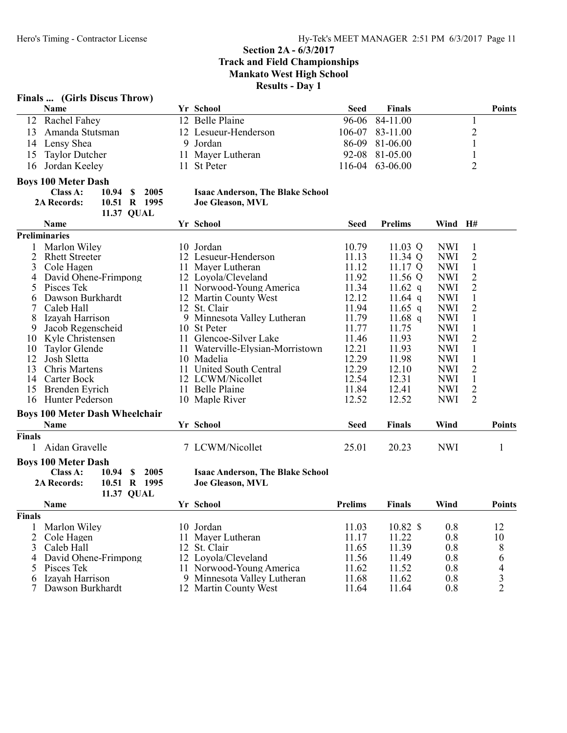### Finals ... (Girls Discus Throw)

| <b>Name</b>        | Yr School            | Seed | <b>Finals</b>   | <b>Points</b> |
|--------------------|----------------------|------|-----------------|---------------|
| 12 Rachel Fahey    | 12 Belle Plaine      |      | 96-06 84-11.00  |               |
| 13 Amanda Stutsman | 12 Lesueur-Henderson |      | 106-07 83-11.00 |               |
| 14 Lensy Shea      | 9 Jordan             |      | 86-09 81-06.00  |               |
| 15 Taylor Dutcher  | 11 Mayer Lutheran    |      | 92-08 81-05.00  |               |
| 16 Jordan Keeley   | 11 St Peter          |      | 116-04 63-06.00 |               |

### Boys 100 Meter Dash

| Class A:           | 10.94 \$ 2005 |
|--------------------|---------------|
| <b>2A Records:</b> | 10.51 R 1995  |
|                    | 11.37 OUAL    |

#### Isaac Anderson, The Blake School Joe Gleason, MVL

|               | Name                                      |    | Yr School                               | <b>Seed</b>    | <b>Prelims</b>     | Wind H#    |                |               |
|---------------|-------------------------------------------|----|-----------------------------------------|----------------|--------------------|------------|----------------|---------------|
|               | <b>Preliminaries</b>                      |    |                                         |                |                    |            |                |               |
|               | Marlon Wiley                              |    | 10 Jordan                               | 10.79          | 11.03 Q            | <b>NWI</b> | 1              |               |
| 2             | <b>Rhett Streeter</b>                     |    | 12 Lesueur-Henderson                    | 11.13          | 11.34 Q            | <b>NWI</b> | $\overline{2}$ |               |
| 3             | Cole Hagen                                | 11 | Mayer Lutheran                          | 11.12          | 11.17 $Q$          | <b>NWI</b> | $\mathbf{1}$   |               |
| 4             | David Ohene-Frimpong                      |    | 12 Loyola/Cleveland                     | 11.92          | 11.56 Q            | <b>NWI</b> | $\overline{2}$ |               |
| 5             | Pisces Tek                                |    | 11 Norwood-Young America                | 11.34          | 11.62 q            | <b>NWI</b> | $\overline{2}$ |               |
| 6             | Dawson Burkhardt                          |    | 12 Martin County West                   | 12.12          | 11.64 $q$          | <b>NWI</b> | $\mathbf{1}$   |               |
|               | Caleb Hall                                | 12 | St. Clair                               | 11.94          | $11.65$ q          | <b>NWI</b> | $\overline{c}$ |               |
| 8             | Izayah Harrison                           |    | 9 Minnesota Valley Lutheran             | 11.79          | $11.68$ q          | <b>NWI</b> | $\mathbf{1}$   |               |
| 9             | Jacob Regenscheid                         | 10 | <b>St Peter</b>                         | 11.77          | 11.75              | <b>NWI</b> | $\mathbf{1}$   |               |
| 10            | Kyle Christensen                          | 11 | Glencoe-Silver Lake                     | 11.46          | 11.93              | <b>NWI</b> | $\overline{2}$ |               |
| 10            | Taylor Glende                             |    | 11 Waterville-Elysian-Morristown        | 12.21          | 11.93              | <b>NWI</b> | $\mathbf{1}$   |               |
| 12            | Josh Sletta                               |    | 10 Madelia                              | 12.29          | 11.98              | <b>NWI</b> | $\mathbf{1}$   |               |
| 13            | Chris Martens                             |    | 11 United South Central                 | 12.29          | 12.10              | <b>NWI</b> | $\overline{2}$ |               |
| 14            | Carter Bock                               |    | 12 LCWM/Nicollet                        | 12.54          | 12.31              | <b>NWI</b> | $\mathbf{1}$   |               |
| 15            | Brenden Eyrich                            | 11 | <b>Belle Plaine</b>                     | 11.84          | 12.41              | <b>NWI</b> | $\overline{2}$ |               |
| 16            | Hunter Pederson                           |    | 10 Maple River                          | 12.52          | 12.52              | <b>NWI</b> | $\overline{2}$ |               |
|               | <b>Boys 100 Meter Dash Wheelchair</b>     |    |                                         |                |                    |            |                |               |
|               | Name                                      |    | Yr School                               | <b>Seed</b>    | <b>Finals</b>      | Wind       |                | <b>Points</b> |
| <b>Finals</b> |                                           |    |                                         |                |                    |            |                |               |
|               | Aidan Gravelle                            |    | 7 LCWM/Nicollet                         | 25.01          | 20.23              | <b>NWI</b> |                | 1             |
|               | <b>Boys 100 Meter Dash</b>                |    |                                         |                |                    |            |                |               |
|               | Class A:<br>2005<br>10.94<br><sup>S</sup> |    | <b>Isaac Anderson, The Blake School</b> |                |                    |            |                |               |
|               | 2A Records:<br>10.51 R 1995               |    | <b>Joe Gleason, MVL</b>                 |                |                    |            |                |               |
|               | 11.37 QUAL                                |    |                                         |                |                    |            |                |               |
|               | Name                                      |    | Yr School                               | <b>Prelims</b> | <b>Finals</b>      | Wind       |                | <b>Points</b> |
| <b>Finals</b> |                                           |    |                                         |                |                    |            |                |               |
|               | Marlon Wiley                              |    | 10 Jordan                               | 11.03          | $10.82~\text{\AA}$ | 0.8        |                | 12            |
| 2             | Cole Hagen                                | 11 | Mayer Lutheran                          | 11.17          | 11.22              | 0.8        |                | 10            |
| 3             | Caleb Hall                                | 12 | St. Clair                               | 11.65          | 11.39              | 0.8        |                | 8             |
|               | David Ohene-Frimpong                      |    | 12 Loyola/Cleveland                     | 11.56          | 11.49              | 0.8        |                | 6             |
| 5             | Pisces Tek                                |    | 11 Norwood-Young America                | 11.62          | 11.52              | 0.8        |                | 4             |

6 Izayah Harrison 9 Minnesota Valley Lutheran 11.68 11.62 0.8 3

12 Martin County West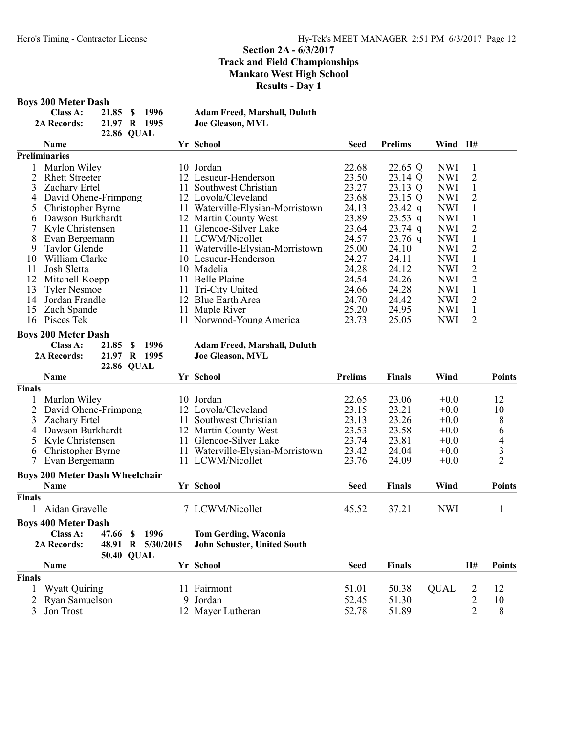#### Boys 200 Meter Dash

| Class A:           | 21.85 \$ 1996     | <b>Adam Freed, Marshall, Duluth</b> |
|--------------------|-------------------|-------------------------------------|
| <b>2A Records:</b> | 21.97 R 1995      | <b>Joe Gleason, MVL</b>             |
|                    | <b>22.86 OUAL</b> |                                     |

|     | <b>Name</b>           |     | Yr School                        | Seed  | <b>Prelims</b> | Wind       | H# |
|-----|-----------------------|-----|----------------------------------|-------|----------------|------------|----|
|     | Preliminaries         |     |                                  |       |                |            |    |
|     | Marlon Wiley          |     | 10 Jordan                        | 22.68 | 22.65 Q        | <b>NWI</b> |    |
|     | <b>Rhett Streeter</b> |     | 12 Lesueur-Henderson             | 23.50 | 23.14 Q        | <b>NWI</b> | 2  |
| 3   | <b>Zachary Ertel</b>  | 11. | Southwest Christian              | 23.27 | 23.13 Q        | <b>NWI</b> |    |
|     | David Ohene-Frimpong  |     | 12 Loyola/Cleveland              | 23.68 | 23.15 Q        | <b>NWI</b> | 2  |
|     | Christopher Byrne     |     | 11 Waterville-Elysian-Morristown | 24.13 | $23.42$ q      | <b>NWI</b> |    |
| 6   | Dawson Burkhardt      |     | 12 Martin County West            | 23.89 | $23.53$ q      | <b>NWI</b> |    |
|     | Kyle Christensen      |     | 11 Glencoe-Silver Lake           | 23.64 | $23.74$ q      | <b>NWI</b> | 2  |
| 8   | Evan Bergemann        |     | 11 LCWM/Nicollet                 | 24.57 | $23.76$ q      | <b>NWI</b> |    |
| 9   | Taylor Glende         | 11- | Waterville-Elysian-Morristown    | 25.00 | 24.10          | <b>NWI</b> | 2  |
| 10  | William Clarke        |     | 10 Lesueur-Henderson             | 24.27 | 24.11          | <b>NWI</b> |    |
| 11  | Josh Sletta           | 10. | Madelia                          | 24.28 | 24.12          | <b>NWI</b> | 2  |
| 12  | Mitchell Koepp        | 11. | <b>Belle Plaine</b>              | 24.54 | 24.26          | <b>NWI</b> | 2  |
| 13  | <b>Tyler Nesmoe</b>   | 11. | Tri-City United                  | 24.66 | 24.28          | <b>NWI</b> |    |
| 14  | Jordan Frandle        | 12  | Blue Earth Area                  | 24.70 | 24.42          | <b>NWI</b> | 2  |
| 15  | Zach Spande           | 11. | Maple River                      | 25.20 | 24.95          | <b>NWI</b> |    |
| 16. | Pisces Tek            |     | 11 Norwood-Young America         | 23.73 | 25.05          | <b>NWI</b> | 2  |

#### Boys 200 Meter Dash

| Class A:           | 21.85 \$ 1996     |  | <b>Adam Freed, Mars</b> |
|--------------------|-------------------|--|-------------------------|
| <b>2A Records:</b> | 21.97 R 1995      |  | <b>Joe Gleason, MVL</b> |
|                    | <b>22.86 QUAL</b> |  |                         |

# Adam Freed, Marshall, Duluth

Name School Text School Prelims Finals Wind Points Finals 1 Marlon Wiley 10 Jordan 22.65 23.06 +0.0 12<br>
2 David Ohene-Frimpong 12 Loyola/Cleveland 23.15 23.21 +0.0 10 2 David Ohene-Frimpong 12 Loyola/Cleveland 23.15 23.21 +0.0 10<br>3 Zachary Ertel 11 Southwest Christian 23.13 23.26 +0.0 8 3 Zachary Ertel 11 Southwest Christian 23.13 23.26 +0.0 8 4 Dawson Burkhardt 12 Martin County West<br>5 Kyle Christensen 11 Glencoe-Silver Lake 5 Kyle Christensen 11 Glencoe-Silver Lake 23.74 23.81 +0.0 4 6 Christopher Byrne 11 Waterville-Elysian-Morristown 23.42 24.04 +0.0 3<br>7 Evan Bergemann 11 LCWM/Nicollet 23.76 24.09 +0.0 2 11 LCWM/Nicollet 23.76 24.09 +0.0 Boys 200 Meter Dash Wheelchair Name Seed Finals Wind Points Finals 1 Aidan Gravelle 7 LCWM/Nicollet 45.52 37.21 NWI 1 **Boys 400 Meter Dash<br>Class A: 47.66 \$ 1996** Tom Gerding, Waconia 2A Records: 48.91 R 5/30/2015 John Schuster, United South 50.40 QUAL Name Seed Finals H# Points Finals 1 Wyatt Quiring 11 Fairmont 51.01 50.38 QUAL 2 12 2 Ryan Samuelson 9 Jordan 52.45 51.30 2 10<br>3 Jon Trost 12 Maver Lutheran 52.78 51.89 2 8 3 Jon Trost 12 Mayer Lutheran 52.78 51.89 2 8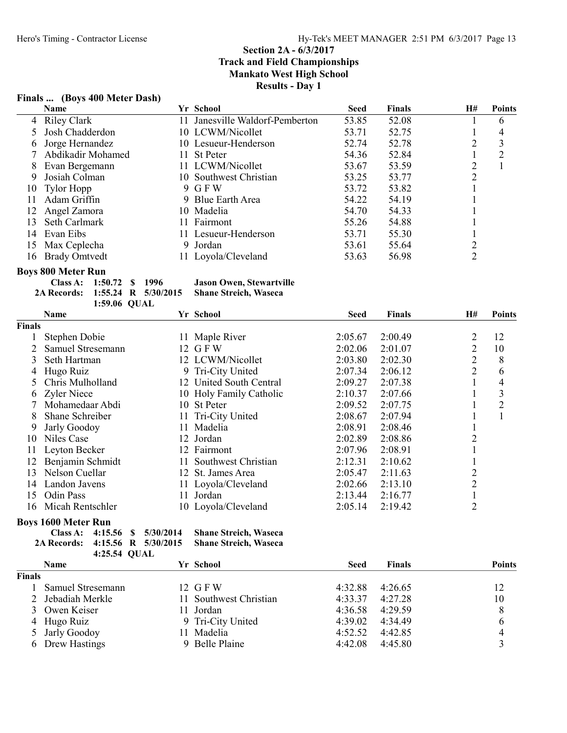# Finals ... (Boys 400 Meter Dash)

6 Drew Hastings

|               | Name                                 |                       | Yr School                       | <b>Seed</b>        | <b>Finals</b>      | H#             | <b>Points</b>  |
|---------------|--------------------------------------|-----------------------|---------------------------------|--------------------|--------------------|----------------|----------------|
| 4             | <b>Riley Clark</b>                   |                       | 11 Janesville Waldorf-Pemberton | 53.85              | 52.08              | 1              | 6              |
| 5             | Josh Chadderdon                      |                       | 10 LCWM/Nicollet                | 53.71              | 52.75              | 1              | 4              |
| 6             | Jorge Hernandez                      |                       | 10 Lesueur-Henderson            | 52.74              | 52.78              | $\overline{2}$ | 3              |
| 7             | Abdikadir Mohamed                    |                       | 11 St Peter                     | 54.36              | 52.84              | $\mathbf{1}$   | $\overline{2}$ |
| 8             | Evan Bergemann                       |                       | 11 LCWM/Nicollet                | 53.67              | 53.59              | 2              | $\mathbf{1}$   |
| 9             | Josiah Colman                        |                       | 10 Southwest Christian          | 53.25              | 53.77              | $\overline{2}$ |                |
| 10            | <b>Tylor Hopp</b>                    |                       | 9 GFW                           | 53.72              | 53.82              | 1              |                |
| 11            | Adam Griffin                         |                       | 9 Blue Earth Area               | 54.22              | 54.19              | 1              |                |
| 12            | Angel Zamora                         |                       | 10 Madelia                      | 54.70              | 54.33              | 1              |                |
| 13            | Seth Carlmark                        |                       | 11 Fairmont                     | 55.26              | 54.88              | 1              |                |
| 14            | Evan Eibs                            |                       | 11 Lesueur-Henderson            | 53.71              | 55.30              | 1              |                |
| 15            | Max Ceplecha                         |                       | 9 Jordan                        | 53.61              | 55.64              | $\overline{c}$ |                |
| 16            | <b>Brady Omtvedt</b>                 |                       | 11 Loyola/Cleveland             | 53.63              | 56.98              | $\overline{2}$ |                |
|               | <b>Boys 800 Meter Run</b>            |                       |                                 |                    |                    |                |                |
|               | Class A:<br>1:50.72                  | 1996<br>$\mathbf{\$}$ | <b>Jason Owen, Stewartville</b> |                    |                    |                |                |
|               | 2A Records:                          | 1:55.24 R $5/30/2015$ | <b>Shane Streich, Waseca</b>    |                    |                    |                |                |
|               | 1:59.06 QUAL                         |                       |                                 |                    |                    |                |                |
|               | Name                                 |                       | Yr School                       | <b>Seed</b>        | <b>Finals</b>      | H#             | <b>Points</b>  |
| <b>Finals</b> |                                      |                       |                                 |                    |                    |                |                |
| 1             | Stephen Dobie                        |                       | 11 Maple River                  | 2:05.67            | 2:00.49            | 2              | 12             |
| 2             | Samuel Stresemann                    |                       | 12 GFW                          | 2:02.06            | 2:01.07            | 2              | 10             |
| 3             | Seth Hartman                         |                       | 12 LCWM/Nicollet                | 2:03.80            | 2:02.30            | 2              | 8              |
| 4             | Hugo Ruiz                            |                       | 9 Tri-City United               | 2:07.34            | 2:06.12            | $\overline{2}$ | 6              |
| 5             | Chris Mulholland                     |                       | 12 United South Central         | 2:09.27            | 2:07.38            | 1              | 4              |
| 6             | Zyler Niece                          |                       | 10 Holy Family Catholic         | 2:10.37            | 2:07.66            | 1              | $\mathfrak{Z}$ |
| 7             | Mohamedaar Abdi                      |                       | 10 St Peter                     | 2:09.52            | 2:07.75            | 1              | $\overline{c}$ |
| 8             | Shane Schreiber                      |                       | 11 Tri-City United              | 2:08.67            | 2:07.94            | 1              | $\mathbf{1}$   |
| 9             | Jarly Goodoy                         | 11                    | Madelia                         | 2:08.91            | 2:08.46            | 1              |                |
| 10            | Niles Case                           |                       | 12 Jordan                       | 2:02.89            | 2:08.86            | $\overline{c}$ |                |
| 11            | Leyton Becker                        |                       | 12 Fairmont                     | 2:07.96            | 2:08.91            | $\mathbf{1}$   |                |
| 12            | Benjamin Schmidt                     |                       | 11 Southwest Christian          | 2:12.31            | 2:10.62            | $\mathbf{1}$   |                |
| 13            | Nelson Cuellar                       |                       | 12 St. James Area               | 2:05.47            | 2:11.63            | $\overline{c}$ |                |
| 14            | Landon Javens                        |                       | 11 Loyola/Cleveland             | 2:02.66            | 2:13.10            | $\overline{2}$ |                |
| 15            | Odin Pass                            |                       | 11 Jordan                       | 2:13.44            | 2:16.77            | $\mathbf{1}$   |                |
| 16            | Micah Rentschler                     |                       | 10 Loyola/Cleveland             | 2:05.14            | 2:19.42            | $\overline{2}$ |                |
|               | <b>Boys 1600 Meter Run</b>           |                       |                                 |                    |                    |                |                |
|               | Class A:<br>4:15.56                  | 5/30/2014<br>\$       | <b>Shane Streich, Waseca</b>    |                    |                    |                |                |
|               | 2A Records:                          | 4:15.56 R 5/30/2015   | <b>Shane Streich, Waseca</b>    |                    |                    |                |                |
|               | 4:25.54 QUAL                         |                       |                                 |                    |                    |                |                |
|               | Name                                 |                       | Yr School                       | <b>Seed</b>        | <b>Finals</b>      |                | <b>Points</b>  |
| <b>Finals</b> |                                      |                       |                                 |                    |                    |                |                |
| 1             | Samuel Stresemann<br>Jebadiah Merkle |                       | 12 GFW                          | 4:32.88            | 4:26.65            |                | 12             |
| 2             |                                      |                       | 11 Southwest Christian          | 4:33.37            | 4:27.28            |                | 10             |
| 3             | Owen Keiser                          |                       | 11 Jordan                       | 4:36.58            | 4:29.59            |                | 8              |
| 4             | Hugo Ruiz<br>Jarly Goodoy            |                       | 9 Tri-City United<br>11 Madelia | 4:39.02<br>4:52.52 | 4:34.49<br>4:42.85 |                | 6<br>4         |
| 5.            |                                      |                       |                                 |                    |                    |                |                |

5 Jarly Goodoy 11 Madelia 4:52.52 4:42.85 4<br>6 Drew Hastings 9 Belle Plaine 4:42.08 4:45.80 3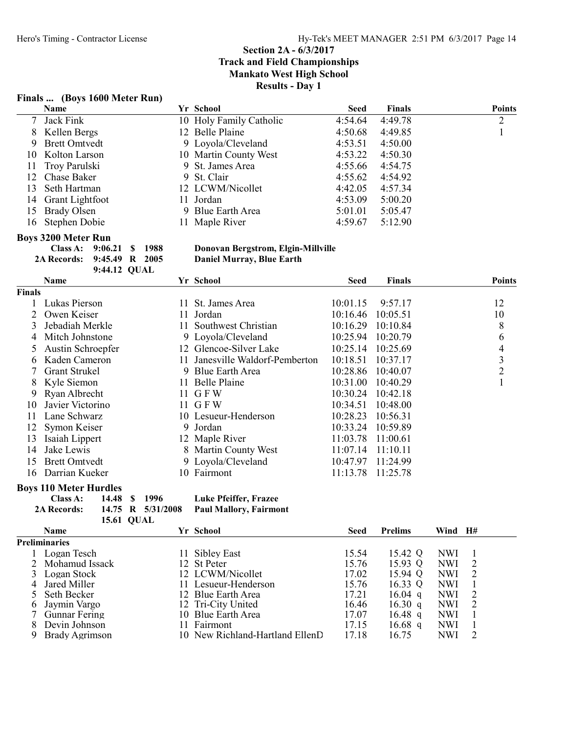#### Finals ... (Boys 1600 Meter Run)

|     | <b>Name</b>        | Yr School               | <b>Seed</b> | <b>Finals</b> | <b>Points</b> |
|-----|--------------------|-------------------------|-------------|---------------|---------------|
|     | 7 Jack Fink        | 10 Holy Family Catholic | 4:54.64     | 4:49.78       | 2             |
|     | 8 Kellen Bergs     | 12 Belle Plaine         | 4:50.68     | 4:49.85       |               |
|     | 9 Brett Omtvedt    | 9 Loyola/Cleveland      | 4:53.51     | 4:50.00       |               |
|     | 10 Kolton Larson   | 10 Martin County West   | 4:53.22     | 4:50.30       |               |
| 11  | Troy Parulski      | 9 St. James Area        | 4:55.66     | 4:54.75       |               |
|     | 12 Chase Baker     | 9 St. Clair             | 4:55.62     | 4:54.92       |               |
| 13. | Seth Hartman       | 12 LCWM/Nicollet        | 4:42.05     | 4:57.34       |               |
|     | 14 Grant Lightfoot | 11 Jordan               | 4:53.09     | 5:00.20       |               |
| 15  | Brady Olsen        | 9 Blue Earth Area       | 5:01.01     | 5:05.47       |               |
|     | 16 Stephen Dobie   | 11 Maple River          | 4:59.67     | 5:12.90       |               |

Donovan Bergstrom, Elgin-Millville<br>Daniel Murray, Blue Earth

# **Boys 3200 Meter Run<br>Class A: 9:06.21 \$ 1988**

2A Records: 9:45.49 R 2005 9:44.12 QUAL

|               | Name                 |     | Yr School                       | Seed     | <b>Finals</b> | <b>Points</b> |
|---------------|----------------------|-----|---------------------------------|----------|---------------|---------------|
| <b>Finals</b> |                      |     |                                 |          |               |               |
|               | Lukas Pierson        | 11. | St. James Area                  | 10:01.15 | 9:57.17       | 12            |
|               | Owen Keiser          |     | 11 Jordan                       | 10:16.46 | 10:05.51      | 10            |
| 3             | Jebadiah Merkle      |     | 11 Southwest Christian          | 10:16.29 | 10:10.84      | 8             |
| 4             | Mitch Johnstone      |     | 9 Loyola/Cleveland              | 10:25.94 | 10:20.79      | 6             |
|               | Austin Schroepfer    |     | 12 Glencoe-Silver Lake          | 10:25.14 | 10:25.69      | 4             |
| 6             | Kaden Cameron        |     | 11 Janesville Waldorf-Pemberton | 10:18.51 | 10:37.17      | 3             |
|               | <b>Grant Strukel</b> | 9   | <b>Blue Earth Area</b>          | 10:28.86 | 10:40.07      | 2             |
| 8             | Kyle Siemon          |     | 11 Belle Plaine                 | 10:31.00 | 10:40.29      |               |
| 9             | Ryan Albrecht        |     | 11 GFW                          | 10:30.24 | 10:42.18      |               |
| 10            | Javier Victorino     |     | 11 G F W                        | 10:34.51 | 10:48.00      |               |
| 11            | Lane Schwarz         |     | 10 Lesueur-Henderson            | 10:28.23 | 10:56.31      |               |
| 12            | Symon Keiser         |     | 9 Jordan                        | 10:33.24 | 10:59.89      |               |
| 13            | Isaiah Lippert       |     | 12 Maple River                  | 11:03.78 | 11:00.61      |               |
| 14            | Jake Lewis           |     | 8 Martin County West            | 11:07.14 | 11:10.11      |               |
| 15            | <b>Brett Omtvedt</b> |     | 9 Loyola/Cleveland              | 10:47.97 | 11:24.99      |               |
| 16            | Darrian Kueker       |     | 10 Fairmont                     | 11:13.78 | 11:25.78      |               |

### Boys 110 Meter Hurdles

| Class A:           |                   | 14.48 \$ 1996               | <b>Luke Pfei</b> |
|--------------------|-------------------|-----------------------------|------------------|
| <b>2A Records:</b> |                   | 14.75 R 5/31/2008 Paul Mall |                  |
|                    | <b>15.61 QUAL</b> |                             |                  |

iffer, Frazee lory, Fairmont

|    | <b>Name</b>          | Yr School                       | Seed  | <b>Prelims</b> | Wind       | - H# |
|----|----------------------|---------------------------------|-------|----------------|------------|------|
|    | Preliminaries        |                                 |       |                |            |      |
|    | Logan Tesch          | Sibley East                     | 15.54 | 15.42 Q        | <b>NWI</b> |      |
|    | 2 Mohamud Issack     | 12 St Peter                     | 15.76 | 15.93 Q        | <b>NWI</b> | 2    |
|    | 3 Logan Stock        | 12 LCWM/Nicollet                | 17.02 | 15.94 O        | <b>NWI</b> | 2    |
|    | Jared Miller         | 11 Lesueur-Henderson            | 15.76 | 16.33 Q        | <b>NWI</b> |      |
|    | Seth Becker          | 12 Blue Earth Area              | 17.21 | $16.04$ q      | <b>NWI</b> | 2    |
| 6  | Jaymin Vargo         | 12 Tri-City United              | 16.46 | 16.30 q        | <b>NWI</b> | 2    |
|    | <b>Gunnar Fering</b> | 10 Blue Earth Area              | 17.07 | 16.48 q        | <b>NWI</b> |      |
|    | Devin Johnson        | Fairmont                        | 17.15 | $16.68$ q      | <b>NWI</b> |      |
| Q. | Brady Agrimson       | 10 New Richland-Hartland EllenD | 17.18 | 16.75          | <b>NWI</b> | 2    |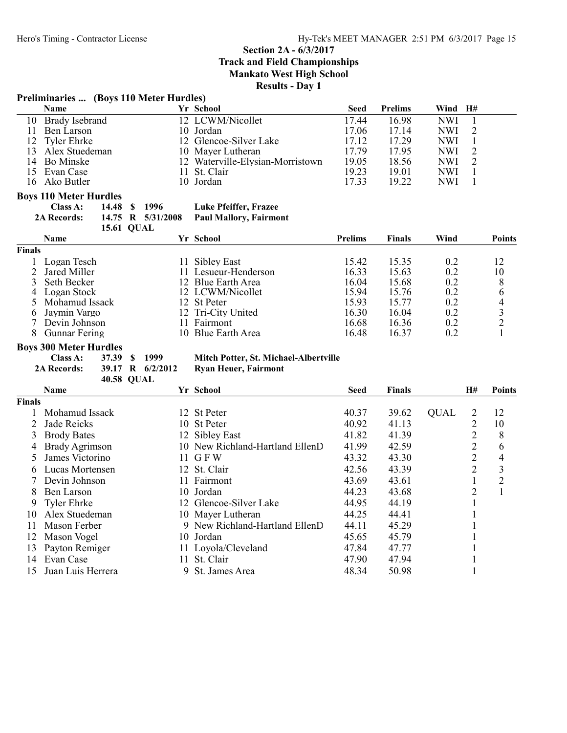# Section 2A - 6/3/2017

Track and Field Championships

Mankato West High School

Results - Day 1

# Preliminaries ... (Boys 110 Meter Hurdles)

| <b>Name</b>       | Yr School                        | Seed  | <b>Prelims</b> | Wind H#    |  |
|-------------------|----------------------------------|-------|----------------|------------|--|
| 10 Brady Isebrand | 12 LCWM/Nicollet                 | 17.44 | 16.98          | <b>NWI</b> |  |
| Ben Larson        | 10 Jordan                        | 17.06 | 17.14          | NWI.       |  |
| 12 Tyler Ehrke    | 12 Glencoe-Silver Lake           | 17.12 | 17.29          | <b>NWI</b> |  |
| 13 Alex Stuedeman | 10 Mayer Lutheran                | 17.79 | 17.95          | NWI.       |  |
| 14 Bo Minske      | 12 Waterville-Elysian-Morristown | 19.05 | 18.56          | NWI.       |  |
| 15 Evan Case      | 11 St. Clair                     | 19.23 | 19.01          | <b>NWI</b> |  |
| 16 Ako Butler     | 10 Jordan                        | 17.33 | 19.22          | <b>NWI</b> |  |

# Boys 110 Meter Hurdles<br>Class A: 14.48

| <b>Luke Pfeiffer, Frazee</b><br><b>Class A:</b><br>14.48 \$ 1996 |  |
|------------------------------------------------------------------|--|
|------------------------------------------------------------------|--|

2A Records: 14.75 R 5/31/2008 Paul Mallory, Fairmont 15.61 QUAL

|        | <b>Name</b>    | Yr School   |                      | <b>Prelims</b> | <b>Finals</b> | Wind | <b>Points</b> |
|--------|----------------|-------------|----------------------|----------------|---------------|------|---------------|
| Finals |                |             |                      |                |               |      |               |
|        | Logan Tesch    | Sibley East |                      | 15.42          | 15.35         | 0.2  |               |
|        | Jared Miller   |             | 11 Lesueur-Henderson | 16.33          | 15.63         | 0.2  | 10            |
|        | Seth Becker    |             | 12 Blue Earth Area   | 16.04          | 15.68         | 0.2  |               |
| 4      | Logan Stock    |             | 12 LCWM/Nicollet     | 15.94          | 15.76         | 0.2  |               |
|        | Mohamud Issack | 12 St Peter |                      | 15.93          | 15.77         | 0.2  |               |
|        | Jaymin Vargo   |             | 12 Tri-City United   | 16.30          | 16.04         | 0.2  |               |
|        | Devin Johnson  | Fairmont    |                      | 16.68          | 16.36         | 0.2  |               |
|        | Gunnar Fering  |             | 10 Blue Earth Area   | 16.48          | 16.37         | 0.2  |               |

# **Boys 300 Meter Hurdles<br>Class A: 37.39 \$ 1999**

Class A: 37.39 \$ 1999 Mitch Potter, St. Michael-Albertville<br>2A Records: 39.17 R 6/2/2012 Ryan Heuer, Fairmont

Ryan Heuer, Fairmont

|               | <b>40.58 QUAL</b>  |     |                                 |       |               |             |                |                |
|---------------|--------------------|-----|---------------------------------|-------|---------------|-------------|----------------|----------------|
|               | <b>Name</b>        |     | Yr School                       | Seed  | <b>Finals</b> |             | <b>H#</b>      | <b>Points</b>  |
| <b>Finals</b> |                    |     |                                 |       |               |             |                |                |
|               | Mohamud Issack     | 12  | St Peter                        | 40.37 | 39.62         | <b>QUAL</b> | 2              | 12             |
|               | Jade Reicks        | 10- | <b>St Peter</b>                 | 40.92 | 41.13         |             | 2              | 10             |
| 3             | <b>Brody Bates</b> |     | 12 Sibley East                  | 41.82 | 41.39         |             | $\overline{2}$ | 8              |
| 4             | Brady Agrimson     |     | 10 New Richland-Hartland EllenD | 41.99 | 42.59         |             | $\overline{2}$ | 6              |
| 5.            | James Victorino    |     | 11 GFW                          | 43.32 | 43.30         |             | 2              | 4              |
| 6             | Lucas Mortensen    |     | 12 St. Clair                    | 42.56 | 43.39         |             | $\overline{2}$ | 3              |
|               | Devin Johnson      | 11. | Fairmont                        | 43.69 | 43.61         |             |                | $\overline{2}$ |
| 8             | Ben Larson         |     | 10 Jordan                       | 44.23 | 43.68         |             | $\overline{2}$ |                |
| 9             | Tyler Ehrke        | 12. | Glencoe-Silver Lake             | 44.95 | 44.19         |             |                |                |
| 10            | Alex Stuedeman     |     | 10 Mayer Lutheran               | 44.25 | 44.41         |             |                |                |
| 11            | Mason Ferber       |     | 9 New Richland-Hartland EllenD  | 44.11 | 45.29         |             |                |                |
| 12            | Mason Vogel        |     | 10 Jordan                       | 45.65 | 45.79         |             |                |                |
| 13            | Payton Remiger     |     | 11 Loyola/Cleveland             | 47.84 | 47.77         |             |                |                |
| 14            | Evan Case          | 11. | St. Clair                       | 47.90 | 47.94         |             |                |                |
| 15            | Juan Luis Herrera  | 9   | St. James Area                  | 48.34 | 50.98         |             |                |                |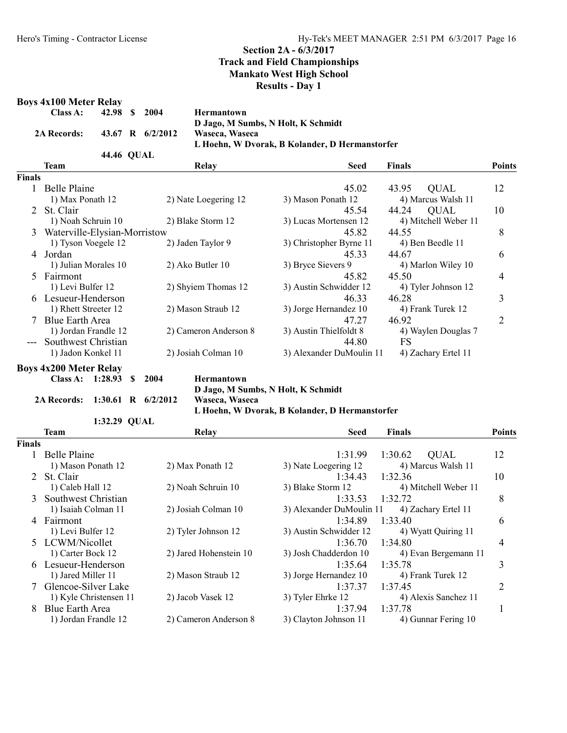# Boys  $4x100$  Meter Rel

|        | <b>Boys 4x100 Meter Relay</b> |              |              |                      |                        |                                                |                        |                |
|--------|-------------------------------|--------------|--------------|----------------------|------------------------|------------------------------------------------|------------------------|----------------|
|        | Class A:                      | 42.98        | <sup>S</sup> | 2004                 | <b>Hermantown</b>      |                                                |                        |                |
|        |                               |              |              |                      |                        | D Jago, M Sumbs, N Holt, K Schmidt             |                        |                |
|        | 2A Records:                   | 43.67        |              | $R = 6/2/2012$       | Waseca, Waseca         |                                                |                        |                |
|        |                               |              |              |                      |                        | L Hoehn, W Dvorak, B Kolander, D Hermanstorfer |                        |                |
|        |                               | 44.46 QUAL   |              |                      |                        |                                                |                        |                |
|        | <b>Team</b>                   |              |              |                      | Relay                  | <b>Seed</b>                                    | <b>Finals</b>          | <b>Points</b>  |
| Finals |                               |              |              |                      |                        |                                                |                        |                |
|        | 1 Belle Plaine                |              |              |                      |                        | 45.02                                          | 43.95<br><b>QUAL</b>   | 12             |
|        | 1) Max Ponath 12              |              |              |                      | 2) Nate Loegering 12   | 3) Mason Ponath 12                             | 4) Marcus Walsh 11     |                |
| 2      | St. Clair                     |              |              |                      |                        | 45.54                                          | 44.24<br><b>QUAL</b>   | 10             |
|        | 1) Noah Schruin 10            |              |              |                      | 2) Blake Storm 12      | 3) Lucas Mortensen 12                          | 4) Mitchell Weber 11   |                |
| 3      | Waterville-Elysian-Morristow  |              |              |                      |                        | 45.82                                          | 44.55                  | 8              |
|        | 1) Tyson Voegele 12           |              |              |                      | 2) Jaden Taylor 9      | 3) Christopher Byrne 11                        | 4) Ben Beedle 11       |                |
|        | 4 Jordan                      |              |              |                      |                        | 45.33                                          | 44.67                  | 6              |
|        | 1) Julian Morales 10          |              |              |                      | 2) Ako Butler 10       | 3) Bryce Sievers 9                             | 4) Marlon Wiley 10     |                |
| 5      | Fairmont                      |              |              |                      |                        | 45.82                                          | 45.50                  | 4              |
|        | 1) Levi Bulfer 12             |              |              |                      | 2) Shyiem Thomas 12    | 3) Austin Schwidder 12                         | 4) Tyler Johnson 12    |                |
|        | 6 Lesueur-Henderson           |              |              |                      |                        | 46.33                                          | 46.28                  | 3              |
|        | 1) Rhett Streeter 12          |              |              |                      | 2) Mason Straub 12     | 3) Jorge Hernandez 10                          | 4) Frank Turek 12      |                |
|        | Blue Earth Area               |              |              |                      |                        | 47.27                                          | 46.92                  | $\overline{2}$ |
|        | 1) Jordan Frandle 12          |              |              |                      | 2) Cameron Anderson 8  | 3) Austin Thielfoldt 8                         | 4) Waylen Douglas 7    |                |
|        | Southwest Christian           |              |              |                      |                        | 44.80                                          | <b>FS</b>              |                |
|        | 1) Jadon Konkel 11            |              |              |                      | 2) Josiah Colman 10    | 3) Alexander DuMoulin 11                       | 4) Zachary Ertel 11    |                |
|        |                               |              |              |                      |                        |                                                |                        |                |
|        | <b>Boys 4x200 Meter Relay</b> |              |              |                      |                        |                                                |                        |                |
|        | Class A:                      | 1:28.93      | S            | 2004                 | <b>Hermantown</b>      |                                                |                        |                |
|        |                               |              |              |                      |                        | D Jago, M Sumbs, N Holt, K Schmidt             |                        |                |
|        | 2A Records:                   |              |              | 1:30.61 R $6/2/2012$ | Waseca, Waseca         |                                                |                        |                |
|        |                               | 1:32.29 QUAL |              |                      |                        | L Hoehn, W Dvorak, B Kolander, D Hermanstorfer |                        |                |
|        | <b>Team</b>                   |              |              |                      | Relay                  | <b>Seed</b>                                    | <b>Finals</b>          | <b>Points</b>  |
| Finals |                               |              |              |                      |                        |                                                |                        |                |
| 1      | <b>Belle Plaine</b>           |              |              |                      |                        | 1:31.99                                        | 1:30.62<br><b>QUAL</b> | 12             |
|        | 1) Mason Ponath 12            |              |              |                      | 2) Max Ponath 12       | 3) Nate Loegering 12                           | 4) Marcus Walsh 11     |                |
| 2      | St. Clair                     |              |              |                      |                        | 1:34.43                                        | 1:32.36                |                |
|        |                               |              |              |                      |                        | 3) Blake Storm 12                              |                        | 10             |
|        | 1) Caleb Hall 12              |              |              |                      | 2) Noah Schruin 10     |                                                | 4) Mitchell Weber 11   |                |
| 3      | Southwest Christian           |              |              |                      |                        | 1:33.53                                        | 1:32.72                | 8              |
|        | 1) Isaiah Colman 11           |              |              |                      | 2) Josiah Colman 10    | 3) Alexander DuMoulin 11                       | 4) Zachary Ertel 11    |                |
| 4      | Fairmont                      |              |              |                      |                        | 1:34.89                                        | 1:33.40                | 6              |
|        | 1) Levi Bulfer 12             |              |              |                      | 2) Tyler Johnson 12    | 3) Austin Schwidder 12                         | 4) Wyatt Quiring 11    |                |
| 5      | LCWM/Nicollet                 |              |              |                      |                        | 1:36.70                                        | 1:34.80                | 4              |
|        | 1) Carter Bock 12             |              |              |                      | 2) Jared Hohenstein 10 | 3) Josh Chadderdon 10                          | 4) Evan Bergemann 11   |                |
|        | 6 Lesueur-Henderson           |              |              |                      |                        | 1:35.64                                        | 1:35.78                | 3              |
|        | 1) Jared Miller 11            |              |              |                      | 2) Mason Straub 12     | 3) Jorge Hernandez 10                          | 4) Frank Turek 12      |                |
|        | 7 Glencoe-Silver Lake         |              |              |                      |                        | 1:37.37                                        | 1:37.45                | 2              |
|        | 1) Kyle Christensen 11        |              |              |                      | 2) Jacob Vasek 12      | 3) Tyler Ehrke 12                              | 4) Alexis Sanchez 11   |                |

8 Blue Earth Area 1:37.94 1:37.78 1<br>
1) Jordan Frandle 12 2) Cameron Anderson 8 3) Clayton Johnson 11 4) Gunnar Fering 10

2) Cameron Anderson 8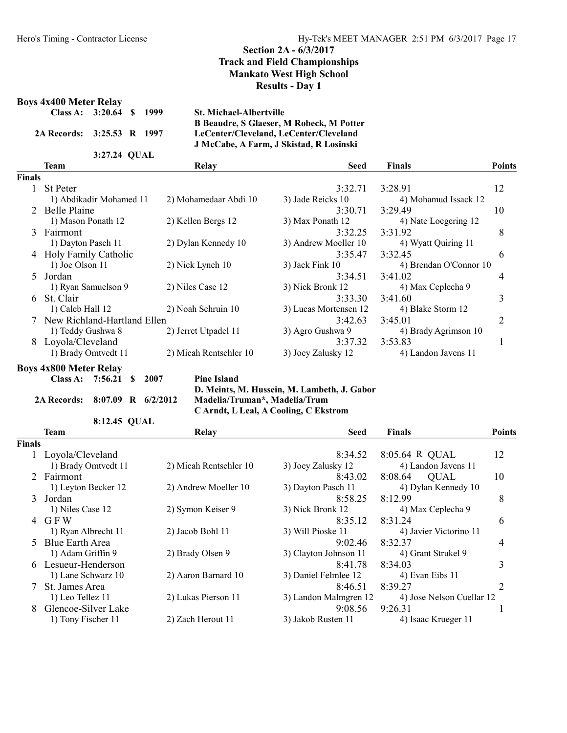# Boys 4x400 Meter Relay

|               | DUVS TATUU IYILLLI IXLIAV   |                     |   |      |                                |                                                 |                        |                |
|---------------|-----------------------------|---------------------|---|------|--------------------------------|-------------------------------------------------|------------------------|----------------|
|               | Class A:                    | 3:20.64             | S | 1999 | <b>St. Michael-Albertville</b> |                                                 |                        |                |
|               |                             |                     |   |      |                                | <b>B Beaudre, S Glaeser, M Robeck, M Potter</b> |                        |                |
|               | <b>2A Records:</b>          | 3:25.53 R 1997      |   |      |                                | LeCenter/Cleveland, LeCenter/Cleveland          |                        |                |
|               |                             |                     |   |      |                                | J McCabe, A Farm, J Skistad, R Losinski         |                        |                |
|               |                             | 3:27.24 QUAL        |   |      |                                |                                                 |                        |                |
|               | Team                        |                     |   |      | Relay                          | <b>Seed</b>                                     | <b>Finals</b>          | <b>Points</b>  |
| <b>Finals</b> |                             |                     |   |      |                                |                                                 |                        |                |
|               | <b>St Peter</b>             |                     |   |      |                                | 3:32.71                                         | 3:28.91                | 12             |
|               | 1) Abdikadir Mohamed 11     |                     |   |      | 2) Mohamedaar Abdi 10          | 3) Jade Reicks 10                               | 4) Mohamud Issack 12   |                |
|               | 2 Belle Plaine              |                     |   |      |                                | 3:30.71                                         | 3:29.49                | 10             |
|               | 1) Mason Ponath 12          |                     |   |      | 2) Kellen Bergs 12             | 3) Max Ponath 12                                | 4) Nate Loegering 12   |                |
| 3             | Fairmont                    |                     |   |      |                                | 3:32.25                                         | 3:31.92                | 8              |
|               | 1) Dayton Pasch 11          |                     |   |      | 2) Dylan Kennedy 10            | 3) Andrew Moeller 10                            | 4) Wyatt Quiring 11    |                |
| 4             | Holy Family Catholic        |                     |   |      |                                | 3:35.47                                         | 3:32.45                | 6              |
|               | 1) Joe Olson 11             |                     |   |      | 2) Nick Lynch 10               | 3) Jack Fink 10                                 | 4) Brendan O'Connor 10 |                |
| $\mathcal{F}$ | Jordan                      |                     |   |      |                                | 3:34.51                                         | 3:41.02                | 4              |
|               | 1) Ryan Samuelson 9         |                     |   |      | 2) Niles Case 12               | 3) Nick Bronk 12                                | 4) Max Ceplecha 9      |                |
| 6             | St. Clair                   |                     |   |      |                                | 3:33.30                                         | 3:41.60                | 3              |
|               | 1) Caleb Hall 12            |                     |   |      | 2) Noah Schruin 10             | 3) Lucas Mortensen 12                           | 4) Blake Storm 12      |                |
|               | New Richland-Hartland Ellen |                     |   |      |                                | 3:42.63                                         | 3:45.01                | $\overline{2}$ |
|               | 1) Teddy Gushwa 8           |                     |   |      | 2) Jerret Utpadel 11           | 3) Agro Gushwa 9                                | 4) Brady Agrimson 10   |                |
| 8             | Loyola/Cleveland            |                     |   |      |                                | 3:37.32                                         | 3:53.83                |                |
|               |                             | 1) Brady Omtvedt 11 |   |      | 2) Micah Rentschler 10         | 3) Joey Zalusky 12                              | 4) Landon Javens 11    |                |

### Boys 4x800 Meter Relay

| Class A: $7:56.21$ \$ 2007 |  |  |
|----------------------------|--|--|
|                            |  |  |

Pine Island D. Meints, M. Hussein, M. Lambeth, J. Gabor 2A Records: 8:07.09 R 6/2/2012 Madelia/Truman\*, Madelia/Trum

C Arndt, L Leal, A Cooling, C Ekstrom

|                | 8:12.45 QUAL           |                        |                       |                           |                |
|----------------|------------------------|------------------------|-----------------------|---------------------------|----------------|
|                | Team                   | Relay                  | <b>Seed</b>           | Finals                    | <b>Points</b>  |
| <b>Finals</b>  |                        |                        |                       |                           |                |
|                | 1 Loyola/Cleveland     |                        | 8:34.52               | 8:05.64 R QUAL            | 12             |
|                | 1) Brady Omtvedt 11    | 2) Micah Rentschler 10 | 3) Joey Zalusky 12    | 4) Landon Javens 11       |                |
|                | 2 Fairmont             |                        | 8:43.02               | 8:08.64<br><b>QUAL</b>    | 10             |
|                | 1) Leyton Becker 12    | 2) Andrew Moeller 10   | 3) Dayton Pasch 11    | 4) Dylan Kennedy 10       |                |
|                | 3 Jordan               |                        | 8:58.25               | 8:12.99                   | 8              |
|                | 1) Niles Case 12       | 2) Symon Keiser 9      | 3) Nick Bronk 12      | 4) Max Ceplecha 9         |                |
|                | 4 GFW                  |                        | 8:35.12               | 8:31.24                   | 6              |
|                | 1) Ryan Albrecht 11    | 2) Jacob Bohl 11       | 3) Will Pioske 11     | 4) Javier Victorino 11    |                |
| 5 <sup>1</sup> | <b>Blue Earth Area</b> |                        | 9:02.46               | 8:32.37                   | 4              |
|                | 1) Adam Griffin 9      | 2) Brady Olsen 9       | 3) Clayton Johnson 11 | 4) Grant Strukel 9        |                |
|                | 6 Lesueur-Henderson    |                        | 8:41.78               | 8:34.03                   | 3              |
|                | 1) Lane Schwarz 10     | 2) Aaron Barnard 10    | 3) Daniel Felmlee 12  | 4) Evan Eibs 11           |                |
| 7              | St. James Area         |                        | 8:46.51               | 8:39.27                   | $\overline{2}$ |
|                | 1) Leo Tellez 11       | 2) Lukas Pierson 11    | 3) Landon Malmgren 12 | 4) Jose Nelson Cuellar 12 |                |
|                | Glencoe-Silver Lake    |                        | 9:08.56               | 9:26.31                   |                |
|                | 1) Tony Fischer 11     | 2) Zach Herout 11      | 3) Jakob Rusten 11    | 4) Isaac Krueger 11       |                |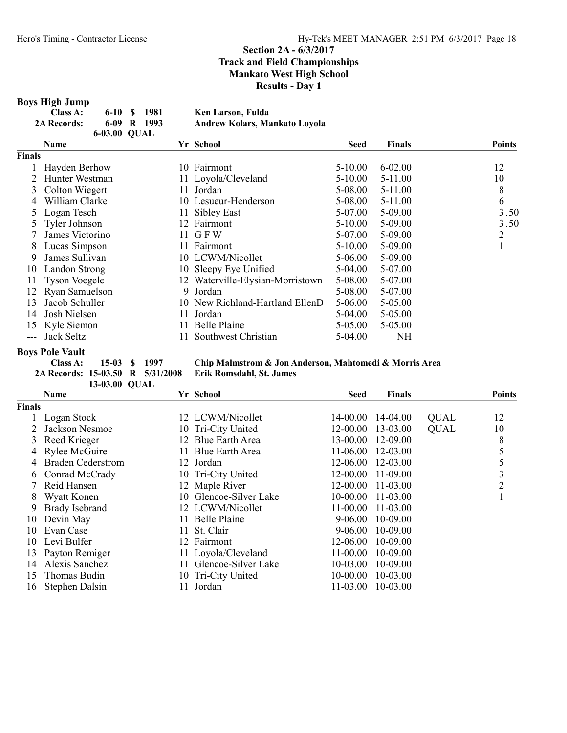#### Boys High Jump

| Class A:           |              | 6-10 \$ 1981  | Ken Larson, Fulda             |
|--------------------|--------------|---------------|-------------------------------|
| <b>2A Records:</b> |              | $6-09$ R 1993 | Andrew Kolars, Mankato Lovola |
|                    | 6-03.00 OUAL |               |                               |

|        | Name                 |    | Yr School                        | <b>Seed</b> | <b>Finals</b> | <b>Points</b> |
|--------|----------------------|----|----------------------------------|-------------|---------------|---------------|
| Finals |                      |    |                                  |             |               |               |
|        | Hayden Berhow        |    | 10 Fairmont                      | $5-10.00$   | $6 - 02.00$   | 12            |
|        | Hunter Westman       |    | 11 Loyola/Cleveland              | $5-10.00$   | 5-11.00       | 10            |
| 3      | Colton Wiegert       |    | 11 Jordan                        | 5-08.00     | $5-11.00$     | 8             |
| 4      | William Clarke       |    | 10 Lesueur-Henderson             | 5-08.00     | $5-11.00$     | 6             |
| 5      | Logan Tesch          | 11 | Sibley East                      | 5-07.00     | 5-09.00       | 3.50          |
| 5      | Tyler Johnson        |    | 12 Fairmont                      | $5-10.00$   | 5-09.00       | 3.50          |
|        | James Victorino      |    | 11 GFW                           | 5-07.00     | 5-09.00       | 2             |
| 8      | Lucas Simpson        |    | 11 Fairmont                      | $5-10.00$   | 5-09.00       |               |
| 9      | James Sullivan       |    | 10 LCWM/Nicollet                 | 5-06.00     | 5-09.00       |               |
| 10     | Landon Strong        |    | 10 Sleepy Eye Unified            | 5-04.00     | 5-07.00       |               |
| 11     | <b>Tyson Voegele</b> |    | 12 Waterville-Elysian-Morristown | 5-08.00     | 5-07.00       |               |
| 12     | Ryan Samuelson       | 9. | Jordan                           | 5-08.00     | 5-07.00       |               |
| 13     | Jacob Schuller       |    | 10 New Richland-Hartland EllenD  | $5 - 06.00$ | 5-05.00       |               |
| 14     | Josh Nielsen         | 11 | Jordan                           | 5-04.00     | 5-05.00       |               |
| 15     | Kyle Siemon          |    | Belle Plaine                     | 5-05.00     | 5-05.00       |               |
|        | Jack Seltz           |    | Southwest Christian              | 5-04.00     | NH            |               |

# Boys Pole Vault

2A Records: 15-03.50 R 5/31/2008

15-03 \$ 1997 Chip Malmstrom & Jon Anderson, Mahtomedi & Morris Area<br>-03.50 R 5/31/2008 Erik Romsdahl, St. James

|               | 13-03.00 QUAL            |                               |              |               |             |                |
|---------------|--------------------------|-------------------------------|--------------|---------------|-------------|----------------|
|               | <b>Name</b>              | Yr School                     | Seed         | <b>Finals</b> |             | <b>Points</b>  |
| <b>Finals</b> |                          |                               |              |               |             |                |
|               | Logan Stock              | 12 LCWM/Nicollet              | 14-00.00     | 14-04.00      | <b>QUAL</b> | 12             |
|               | Jackson Nesmoe           | 10 Tri-City United            | 12-00.00     | 13-03.00      | <b>QUAL</b> | 10             |
| 3             | Reed Krieger             | Blue Earth Area<br>12         | 13-00.00     | 12-09.00      |             | 8              |
| 4             | Rylee McGuire            | <b>Blue Earth Area</b><br>11. | 11-06.00     | 12-03.00      |             | 5              |
|               | <b>Braden Cederstrom</b> | 12 Jordan                     | 12-06.00     | 12-03.00      |             | 5              |
| 6.            | Conrad McCrady           | 10 Tri-City United            | 12-00.00     | 11-09.00      |             | 3              |
|               | Reid Hansen              | 12 Maple River                | 12-00.00     | 11-03.00      |             | $\overline{2}$ |
| 8             | Wyatt Konen              | 10 Glencoe-Silver Lake        | 10-00.00     | 11-03.00      |             |                |
| 9             | <b>Brady Isebrand</b>    | 12 LCWM/Nicollet              | 11-00.00     | 11-03.00      |             |                |
| 10            | Devin May                | Belle Plaine<br>11.           | $9 - 06.00$  | 10-09.00      |             |                |
| 10            | Evan Case                | St. Clair<br>11               | 9-06.00      | 10-09.00      |             |                |
| 10            | Levi Bulfer              | Fairmont<br>12                | 12-06.00     | $10 - 09.00$  |             |                |
| 13            | Payton Remiger           | 11 Loyola/Cleveland           | 11-00.00     | 10-09.00      |             |                |
| 14            | Alexis Sanchez           | Glencoe-Silver Lake<br>11.    | $10 - 03.00$ | 10-09.00      |             |                |
| 15            | Thomas Budin             | 10 Tri-City United            | $10-00.00$   | 10-03.00      |             |                |
| 16            | Stephen Dalsin           | Jordan                        | 11-03.00     | 10-03.00      |             |                |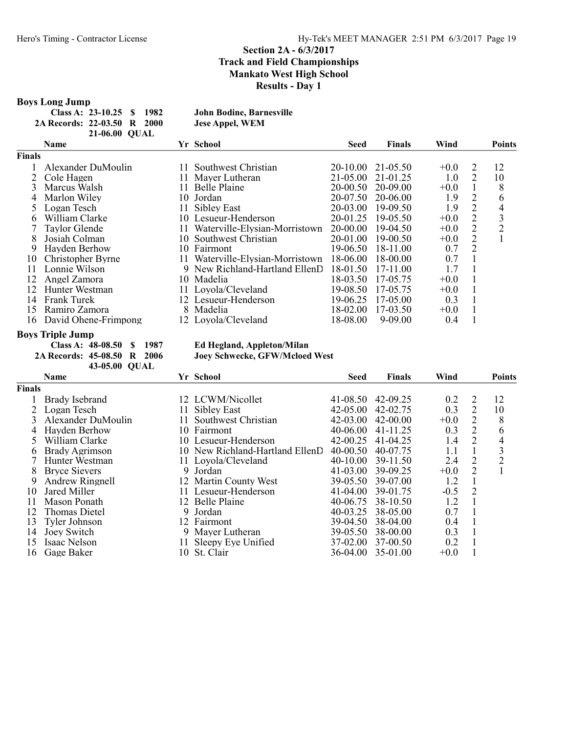#### Boys Long Jump

|                             | Class A: $23-10.25$ \$ 1982 |  | <b>John Bodine, Barnesville</b> |
|-----------------------------|-----------------------------|--|---------------------------------|
| 2A Records: 22-03.50 R 2000 |                             |  | <b>Jese Appel, WEM</b>          |
|                             | 21-06.00 OUAL               |  |                                 |

|               | <b>Name</b>          |     | Yr School                        | <b>Seed</b>  | <b>Finals</b> | Wind   |   | <b>Points</b>  |
|---------------|----------------------|-----|----------------------------------|--------------|---------------|--------|---|----------------|
| <b>Finals</b> |                      |     |                                  |              |               |        |   |                |
|               | Alexander DuMoulin   | 11. | Southwest Christian              | $20 - 10.00$ | 21-05.50      | $+0.0$ | 2 | 12             |
|               | Cole Hagen           |     | 11 Mayer Lutheran                | 21-05.00     | 21-01.25      | 1.0    | 2 | 10             |
|               | Marcus Walsh         |     | 11 Belle Plaine                  | $20 - 00.50$ | 20-09.00      | $+0.0$ |   | 8              |
| 4             | Marlon Wiley         |     | 10 Jordan                        | 20-07.50     | 20-06.00      | 1.9    | 2 | 6              |
|               | Logan Tesch          | 11. | Sibley East                      | 20-03.00     | 19-09.50      | 1.9    | 2 | 4              |
| h             | William Clarke       |     | 10 Lesueur-Henderson             | 20-01.25     | 19-05.50      | $+0.0$ | 2 | 3              |
|               | Taylor Glende        |     | 11 Waterville-Elysian-Morristown | 20-00.00     | 19-04.50      | $+0.0$ | 2 | $\overline{2}$ |
| 8             | Josiah Colman        | 10- | Southwest Christian              | 20-01.00     | 19-00.50      | $+0.0$ | 2 |                |
| 9             | Hayden Berhow        | 10- | Fairmont                         | 19-06.50     | 18-11.00      | 0.7    | 2 |                |
| 10            | Christopher Byrne    |     | Waterville-Elysian-Morristown    | 18-06.00     | 18-00.00      | 0.7    |   |                |
| 11            | Lonnie Wilson        |     | 9 New Richland-Hartland EllenD   | 18-01.50     | $17-11.00$    | 1.7    |   |                |
| 12            | Angel Zamora         |     | 10 Madelia                       | 18-03.50     | 17-05.75      | $+0.0$ |   |                |
| 12            | Hunter Westman       |     | 11 Loyola/Cleveland              | 19-08.50     | 17-05.75      | $+0.0$ |   |                |
| 14            | <b>Frank Turek</b>   | 12. | Lesueur-Henderson                | 19-06.25     | 17-05.00      | 0.3    |   |                |
| 15            | Ramiro Zamora        | 8.  | Madelia                          | 18-02.00     | 17-03.50      | $+0.0$ |   |                |
| 16            | David Ohene-Frimpong |     | 12 Loyola/Cleveland              | 18-08.00     | $9 - 09.00$   | 0.4    |   |                |

**Boys Triple Jump<br>Class A: 48-08.50 \$ 1987** Class A: 48-08.50 \$ 1987 Ed Hegland, Appleton/Milan 2A Records: 45-08.50 R 2006 Joey Schwecke, GFW/Mcloed 43-05.00 QUAL

Joey Schwecke, GFW/Mcloed West

|               | <b>Name</b>          |     | Yr School                       | <b>Seed</b>  | <b>Finals</b> | Wind   |                | <b>Points</b> |
|---------------|----------------------|-----|---------------------------------|--------------|---------------|--------|----------------|---------------|
| <b>Finals</b> |                      |     |                                 |              |               |        |                |               |
|               | Brady Isebrand       |     | 12 LCWM/Nicollet                | 41-08.50     | 42-09.25      | 0.2    | 2              | 12            |
|               | Logan Tesch          | 11. | Sibley East                     | $42 - 05.00$ | 42-02.75      | 0.3    | 2              | 10            |
|               | Alexander DuMoulin   | 11. | Southwest Christian             | $42 - 03.00$ | $42 - 00.00$  | $+0.0$ | $\overline{2}$ | 8             |
| 4             | Hayden Berhow        |     | 10 Fairmont                     | 40-06.00     | 41-11.25      | 0.3    | 2              | 6             |
|               | William Clarke       |     | 10 Lesueur-Henderson            | $42 - 00.25$ | $41 - 04.25$  | 1.4    | $\overline{2}$ | 4             |
| b.            | Brady Agrimson       |     | 10 New Richland-Hartland EllenD | $40 - 00.50$ | 40-07.75      | 1.1    |                | 3             |
|               | Hunter Westman       |     | 11 Loyola/Cleveland             | $40-10.00$   | 39-11.50      | 2.4    | 2              | 2             |
|               | <b>Bryce Sievers</b> | 9   | Jordan                          | $41 - 03.00$ | 39-09.25      | $+0.0$ | $\overline{2}$ |               |
| 9             | Andrew Ringnell      |     | 12 Martin County West           | 39-05.50     | 39-07.00      | 1.2    |                |               |
| 10            | Jared Miller         | 11. | Lesueur-Henderson               | $41 - 04.00$ | 39-01.75      | $-0.5$ | 2              |               |
| 11            | Mason Ponath         |     | 12 Belle Plaine                 | 40-06.75     | 38-10.50      | 1.2    |                |               |
| 12            | <b>Thomas Dietel</b> |     | 9 Jordan                        | 40-03.25     | 38-05.00      | 0.7    |                |               |
| 13            | Tyler Johnson        |     | 12 Fairmont                     | 39-04.50     | 38-04.00      | 0.4    |                |               |
| 14            | Joey Switch          |     | 9 Mayer Lutheran                | 39-05.50     | 38-00.00      | 0.3    |                |               |
| 15            | Isaac Nelson         | 11. | Sleepy Eye Unified              | 37-02.00     | 37-00.50      | 0.2    |                |               |
| 16            | Gage Baker           |     | 10 St. Clair                    | 36-04.00     | 35-01.00      | $+0.0$ |                |               |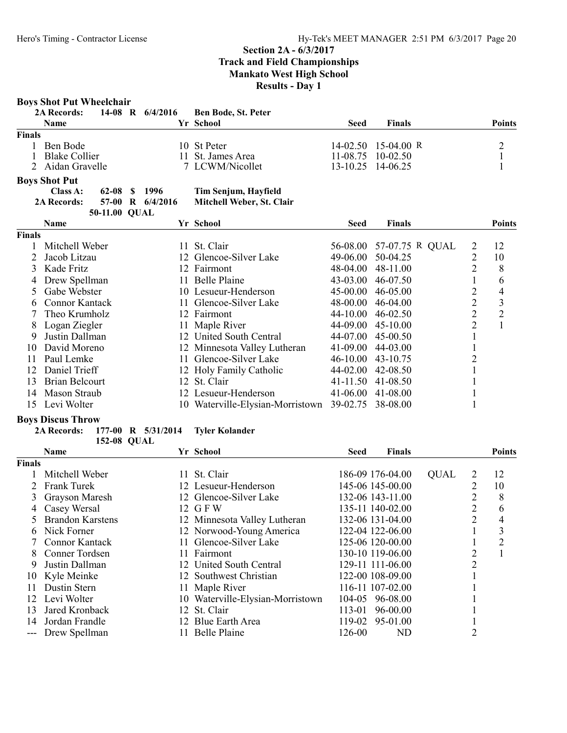### Boys Shot Put Wheelchair

|        | <b>2A Records:</b>   |  | 14-08 R 6/4/2016 Ben Bode, St. Peter |      |                       |               |
|--------|----------------------|--|--------------------------------------|------|-----------------------|---------------|
|        | <b>Name</b>          |  | Yr School                            | Seed | <b>Finals</b>         | <b>Points</b> |
| Finals |                      |  |                                      |      |                       |               |
|        | Ben Bode             |  | 10 St Peter                          |      | $14-02.50$ 15-04.00 R |               |
|        | <b>Blake Collier</b> |  | 11 St. James Area                    |      | $11-08.75$ 10-02.50   |               |
|        | 2 Aidan Gravelle     |  | 7 LCWM/Nicollet                      |      | 13-10.25 14-06.25     |               |

# Boys Shot Put

| Class A:           | 62-08 \$ 1996 |                  | <b>Tim Ser</b> |
|--------------------|---------------|------------------|----------------|
| <b>2A Records:</b> |               | 57-00 R 6/4/2016 | Mitchel        |
|                    | 50-11.00 OUAL |                  |                |

# njum, Hayfield

II Weber, St. Clair

|               | Name            |     | Yr School                        | Seed              | Finals                   |                | <b>Points</b>  |
|---------------|-----------------|-----|----------------------------------|-------------------|--------------------------|----------------|----------------|
| <b>Finals</b> |                 |     |                                  |                   |                          |                |                |
|               | Mitchell Weber  | 11. | St. Clair                        |                   | 56-08.00 57-07.75 R QUAL | 2              | 12             |
|               | Jacob Litzau    |     | 12 Glencoe-Silver Lake           | 49-06.00          | 50-04.25                 |                | 10             |
| 3.            | Kade Fritz      |     | 12 Fairmont                      | 48-04.00          | 48-11.00                 | 2              | 8              |
|               | 4 Drew Spellman |     | 11 Belle Plaine                  | $43 - 03.00$      | 46-07.50                 |                | 6              |
|               | 5 Gabe Webster  |     | 10 Lesueur-Henderson             | $45-00.00$        | 46-05.00                 | 2              | 4              |
| 6             | Connor Kantack  |     | 11 Glencoe-Silver Lake           | 48-00.00          | $46-04.00$               | $\overline{2}$ | 3              |
|               | Theo Krumholz   |     | 12 Fairmont                      | 44-10.00          | 46-02.50                 | $\overline{2}$ | $\overline{2}$ |
|               | Logan Ziegler   |     | 11 Maple River                   | 44-09.00          | $45-10.00$               | 2              |                |
| 9             | Justin Dallman  |     | 12 United South Central          | 44-07.00          | $45-00.50$               |                |                |
| 10            | David Moreno    |     | 12 Minnesota Valley Lutheran     | $41 - 09.00$      | 44-03.00                 |                |                |
| 11            | Paul Lemke      |     | 11 Glencoe-Silver Lake           | 46-10.00          | 43-10.75                 | 2              |                |
| 12            | Daniel Trieff   |     | 12 Holy Family Catholic          | 44-02.00          | 42-08.50                 |                |                |
| 13            | Brian Belcourt  |     | 12 St. Clair                     | 41-11.50          | 41-08.50                 |                |                |
| 14            | Mason Straub    |     | 12 Lesueur-Henderson             | $41 - 06.00$      | 41-08.00                 |                |                |
| 15.           | Levi Wolter     |     | 10 Waterville-Elysian-Morristown | 39-02.75 38-08.00 |                          |                |                |

#### Boys Discus Throw

#### 2A Records: 177-00 R 5/31/2014 Tyler Kolander 152-08 QUAL

|               | <b>Name</b>             |     | Yr School                        | Seed   | Finals           |             |                | <b>Points</b> |
|---------------|-------------------------|-----|----------------------------------|--------|------------------|-------------|----------------|---------------|
| <b>Finals</b> |                         |     |                                  |        |                  |             |                |               |
|               | Mitchell Weber          | 11. | St. Clair                        |        | 186-09 176-04.00 | <b>QUAL</b> | 2              | 12            |
|               | <b>Frank Turek</b>      |     | 12 Lesueur-Henderson             |        | 145-06 145-00.00 |             |                | 10            |
|               | Grayson Maresh          |     | 12 Glencoe-Silver Lake           |        | 132-06 143-11.00 |             | 2              | 8             |
| 4             | Casey Wersal            |     | 12 GFW                           |        | 135-11 140-02.00 |             | 2              | 6             |
|               | <b>Brandon Karstens</b> |     | 12 Minnesota Valley Lutheran     |        | 132-06 131-04.00 |             | $\overline{2}$ | 4             |
| 6.            | Nick Forner             |     | 12 Norwood-Young America         |        | 122-04 122-06.00 |             |                | 3             |
|               | Connor Kantack          |     | 11 Glencoe-Silver Lake           |        | 125-06 120-00.00 |             |                | 2             |
| 8.            | Conner Tordsen          |     | 11 Fairmont                      |        | 130-10 119-06.00 |             | 2              |               |
| 9             | Justin Dallman          |     | 12 United South Central          |        | 129-11 111-06.00 |             | າ              |               |
|               | 10 Kyle Meinke          |     | 12 Southwest Christian           |        | 122-00 108-09.00 |             |                |               |
| 11            | Dustin Stern            |     | 11 Maple River                   |        | 116-11 107-02.00 |             |                |               |
|               | 12 Levi Wolter          |     | 10 Waterville-Elysian-Morristown |        | 104-05 96-08.00  |             |                |               |
| 13            | Jared Kronback          |     | 12 St. Clair                     | 113-01 | 96-00.00         |             |                |               |
| 14            | Jordan Frandle          |     | 12 Blue Earth Area               | 119-02 | 95-01.00         |             |                |               |
| ---           | Drew Spellman           |     | 11 Belle Plaine                  | 126-00 | ND               |             |                |               |